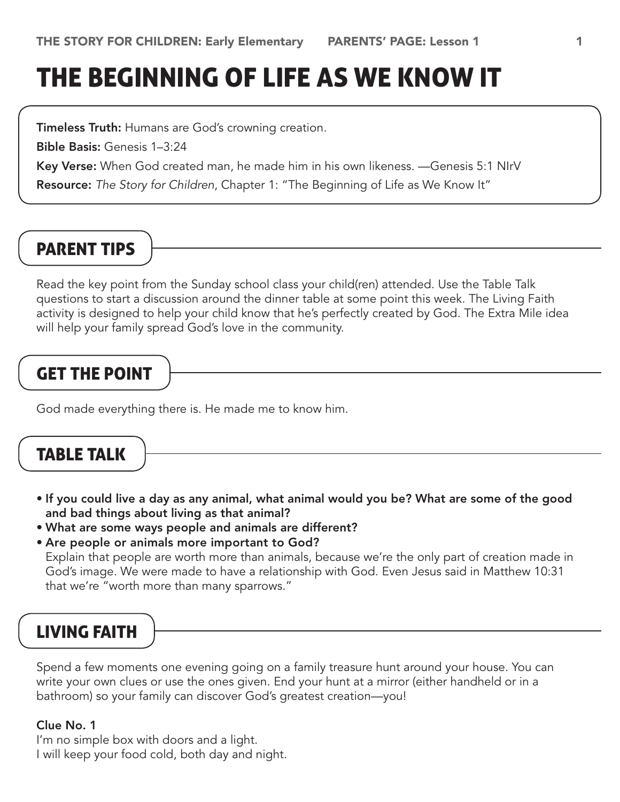# The Beginning of Life as We Know It

**Timeless Truth:** Humans are God's crowning creation.

Bible Basis: Genesis 1–3:24

Key Verse: When God created man, he made him in his own likeness. —Genesis 5:1 NIrV

Resource: *The Story for Children*, Chapter 1: "The Beginning of Life as We Know It"

# Parent Tips

Read the key point from the Sunday school class your child(ren) attended. Use the Table Talk questions to start a discussion around the dinner table at some point this week. The Living Faith activity is designed to help your child know that he's perfectly created by God. The Extra Mile idea will help your family spread God's love in the community.

# Get the Point

God made everything there is. He made me to know him.

#### Table Talk

- If you could live a day as any animal, what animal would you be? What are some of the good and bad things about living as that animal?
- What are some ways people and animals are different?
- Are people or animals more important to God? Explain that people are worth more than animals, because we're the only part of creation made in God's image. We were made to have a relationship with God. Even Jesus said in Matthew 10:31 that we're "worth more than many sparrows."

# Living Faith

Spend a few moments one evening going on a family treasure hunt around your house. You can write your own clues or use the ones given. End your hunt at a mirror (either handheld or in a bathroom) so your family can discover God's greatest creation—you!

#### Clue No. 1

I'm no simple box with doors and a light. I will keep your food cold, both day and night.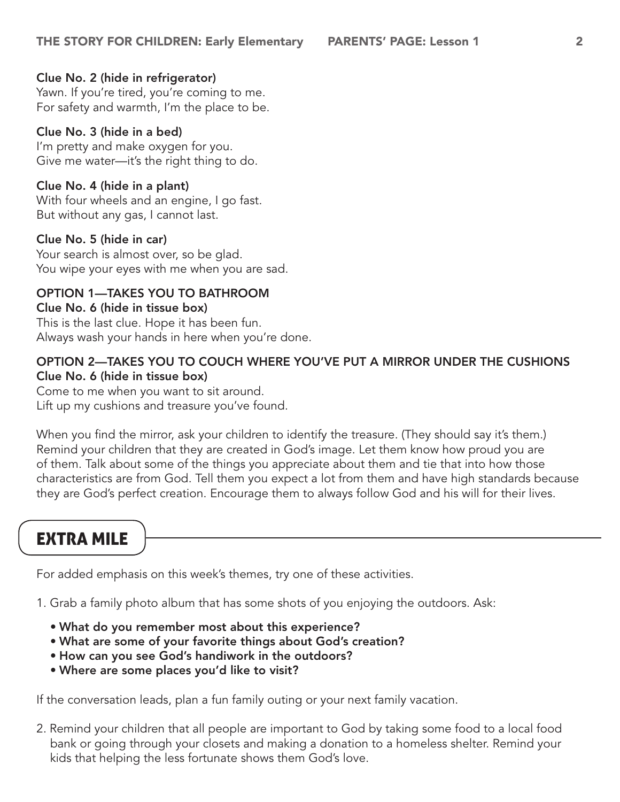#### Clue No. 2 (hide in refrigerator)

Yawn. If you're tired, you're coming to me. For safety and warmth, I'm the place to be.

#### Clue No. 3 (hide in a bed)

I'm pretty and make oxygen for you. Give me water—it's the right thing to do.

#### Clue No. 4 (hide in a plant)

With four wheels and an engine, I go fast. But without any gas, I cannot last.

#### Clue No. 5 (hide in car)

Your search is almost over, so be glad. You wipe your eyes with me when you are sad.

#### Option 1—takes you to bathroom

#### Clue No. 6 (hide in tissue box)

This is the last clue. Hope it has been fun. Always wash your hands in here when you're done.

#### Option 2—takes you to couch where you've put a mirror under the cushions Clue No. 6 (hide in tissue box)

Come to me when you want to sit around. Lift up my cushions and treasure you've found.

When you find the mirror, ask your children to identify the treasure. (They should say it's them.) Remind your children that they are created in God's image. Let them know how proud you are of them. Talk about some of the things you appreciate about them and tie that into how those characteristics are from God. Tell them you expect a lot from them and have high standards because they are God's perfect creation. Encourage them to always follow God and his will for their lives.

#### Extra Mile

For added emphasis on this week's themes, try one of these activities.

1. Grab a family photo album that has some shots of you enjoying the outdoors. Ask:

- What do you remember most about this experience?
- What are some of your favorite things about God's creation?
- How can you see God's handiwork in the outdoors?
- Where are some places you'd like to visit?

If the conversation leads, plan a fun family outing or your next family vacation.

2. Remind your children that all people are important to God by taking some food to a local food bank or going through your closets and making a donation to a homeless shelter. Remind your kids that helping the less fortunate shows them God's love.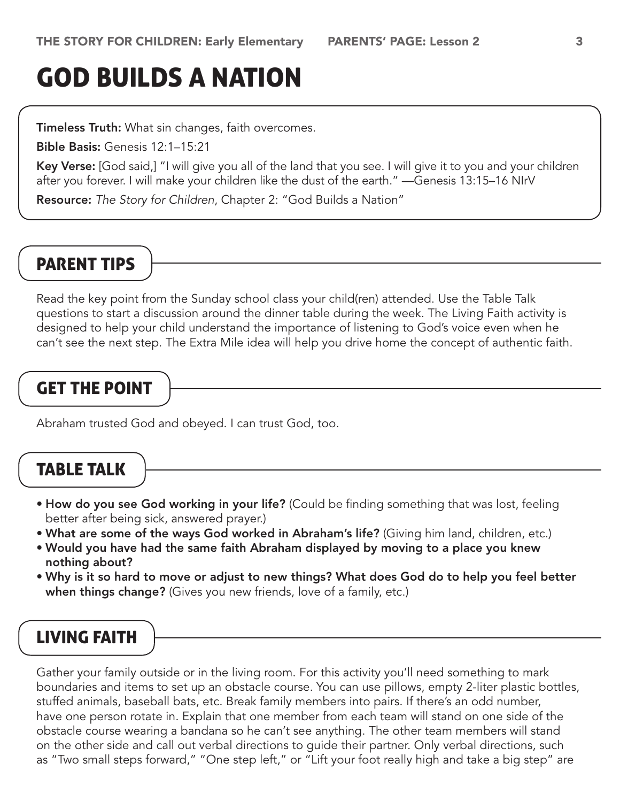# God Builds a Nation

**Timeless Truth:** What sin changes, faith overcomes.

Bible Basis: Genesis 12:1–15:21

Key Verse: [God said,] "I will give you all of the land that you see. I will give it to you and your children after you forever. I will make your children like the dust of the earth." —Genesis 13:15–16 NIrV

Resource: *The Story for Children*, Chapter 2: "God Builds a Nation"

## Parent Tips

Read the key point from the Sunday school class your child(ren) attended. Use the Table Talk questions to start a discussion around the dinner table during the week. The Living Faith activity is designed to help your child understand the importance of listening to God's voice even when he can't see the next step. The Extra Mile idea will help you drive home the concept of authentic faith.

# Get the Point

Abraham trusted God and obeyed. I can trust God, too.

## Table Talk

- How do you see God working in your life? (Could be finding something that was lost, feeling better after being sick, answered prayer.)
- What are some of the ways God worked in Abraham's life? (Giving him land, children, etc.)
- Would you have had the same faith Abraham displayed by moving to a place you knew nothing about?
- Why is it so hard to move or adjust to new things? What does God do to help you feel better when things change? (Gives you new friends, love of a family, etc.)

# Living Faith

Gather your family outside or in the living room. For this activity you'll need something to mark boundaries and items to set up an obstacle course. You can use pillows, empty 2-liter plastic bottles, stuffed animals, baseball bats, etc. Break family members into pairs. If there's an odd number, have one person rotate in. Explain that one member from each team will stand on one side of the obstacle course wearing a bandana so he can't see anything. The other team members will stand on the other side and call out verbal directions to guide their partner. Only verbal directions, such as "Two small steps forward," "One step left," or "Lift your foot really high and take a big step" are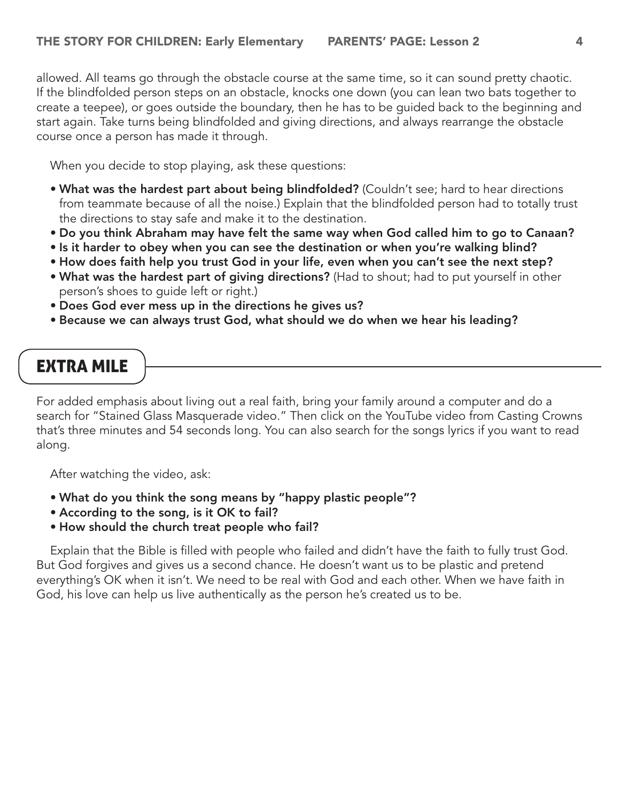allowed. All teams go through the obstacle course at the same time, so it can sound pretty chaotic. If the blindfolded person steps on an obstacle, knocks one down (you can lean two bats together to create a teepee), or goes outside the boundary, then he has to be guided back to the beginning and start again. Take turns being blindfolded and giving directions, and always rearrange the obstacle course once a person has made it through.

When you decide to stop playing, ask these questions:

- What was the hardest part about being blindfolded? (Couldn't see; hard to hear directions from teammate because of all the noise.) Explain that the blindfolded person had to totally trust the directions to stay safe and make it to the destination.
- Do you think Abraham may have felt the same way when God called him to go to Canaan?
- Is it harder to obey when you can see the destination or when you're walking blind?
- How does faith help you trust God in your life, even when you can't see the next step?
- What was the hardest part of giving directions? (Had to shout; had to put yourself in other person's shoes to guide left or right.)
- Does God ever mess up in the directions he gives us?
- Because we can always trust God, what should we do when we hear his leading?

# Extra Mile

For added emphasis about living out a real faith, bring your family around a computer and do a search for "Stained Glass Masquerade video." Then click on the YouTube video from Casting Crowns that's three minutes and 54 seconds long. You can also search for the songs lyrics if you want to read along.

After watching the video, ask:

- What do you think the song means by "happy plastic people"?
- According to the song, is it OK to fail?
- How should the church treat people who fail?

Explain that the Bible is filled with people who failed and didn't have the faith to fully trust God. But God forgives and gives us a second chance. He doesn't want us to be plastic and pretend everything's OK when it isn't. We need to be real with God and each other. When we have faith in God, his love can help us live authentically as the person he's created us to be.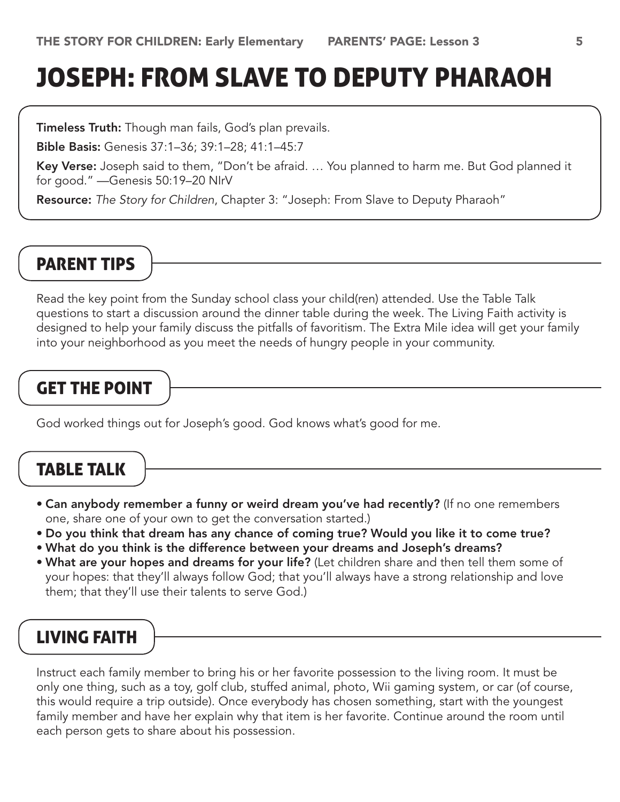# Joseph: From Slave to Deputy Pharaoh

**Timeless Truth:** Though man fails, God's plan prevails.

Bible Basis: Genesis 37:1–36; 39:1–28; 41:1–45:7

Key Verse: Joseph said to them, "Don't be afraid. ... You planned to harm me. But God planned it for good." —Genesis 50:19–20 NIrV

Resource: *The Story for Children*, Chapter 3: "Joseph: From Slave to Deputy Pharaoh"

#### Parent Tips

Read the key point from the Sunday school class your child(ren) attended. Use the Table Talk questions to start a discussion around the dinner table during the week. The Living Faith activity is designed to help your family discuss the pitfalls of favoritism. The Extra Mile idea will get your family into your neighborhood as you meet the needs of hungry people in your community.

#### Get the Point

God worked things out for Joseph's good. God knows what's good for me.

#### Table Talk

- Can anybody remember a funny or weird dream you've had recently? (If no one remembers one, share one of your own to get the conversation started.)
- Do you think that dream has any chance of coming true? Would you like it to come true?
- What do you think is the difference between your dreams and Joseph's dreams?
- What are your hopes and dreams for your life? (Let children share and then tell them some of your hopes: that they'll always follow God; that you'll always have a strong relationship and love them; that they'll use their talents to serve God.)

#### Living Faith

Instruct each family member to bring his or her favorite possession to the living room. It must be only one thing, such as a toy, golf club, stuffed animal, photo, Wii gaming system, or car (of course, this would require a trip outside). Once everybody has chosen something, start with the youngest family member and have her explain why that item is her favorite. Continue around the room until each person gets to share about his possession.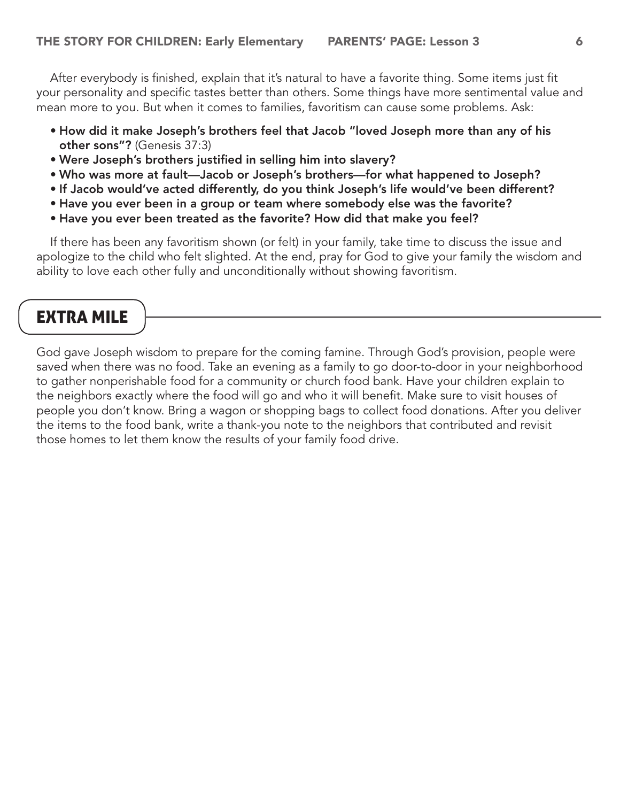After everybody is finished, explain that it's natural to have a favorite thing. Some items just fit your personality and specific tastes better than others. Some things have more sentimental value and mean more to you. But when it comes to families, favoritism can cause some problems. Ask:

- How did it make Joseph's brothers feel that Jacob "loved Joseph more than any of his other sons"? (Genesis 37:3)
- Were Joseph's brothers justified in selling him into slavery?
- Who was more at fault—Jacob or Joseph's brothers—for what happened to Joseph?
- If Jacob would've acted differently, do you think Joseph's life would've been different?
- Have you ever been in a group or team where somebody else was the favorite?
- Have you ever been treated as the favorite? How did that make you feel?

If there has been any favoritism shown (or felt) in your family, take time to discuss the issue and apologize to the child who felt slighted. At the end, pray for God to give your family the wisdom and ability to love each other fully and unconditionally without showing favoritism.

#### Extra Mile

God gave Joseph wisdom to prepare for the coming famine. Through God's provision, people were saved when there was no food. Take an evening as a family to go door-to-door in your neighborhood to gather nonperishable food for a community or church food bank. Have your children explain to the neighbors exactly where the food will go and who it will benefit. Make sure to visit houses of people you don't know. Bring a wagon or shopping bags to collect food donations. After you deliver the items to the food bank, write a thank-you note to the neighbors that contributed and revisit those homes to let them know the results of your family food drive.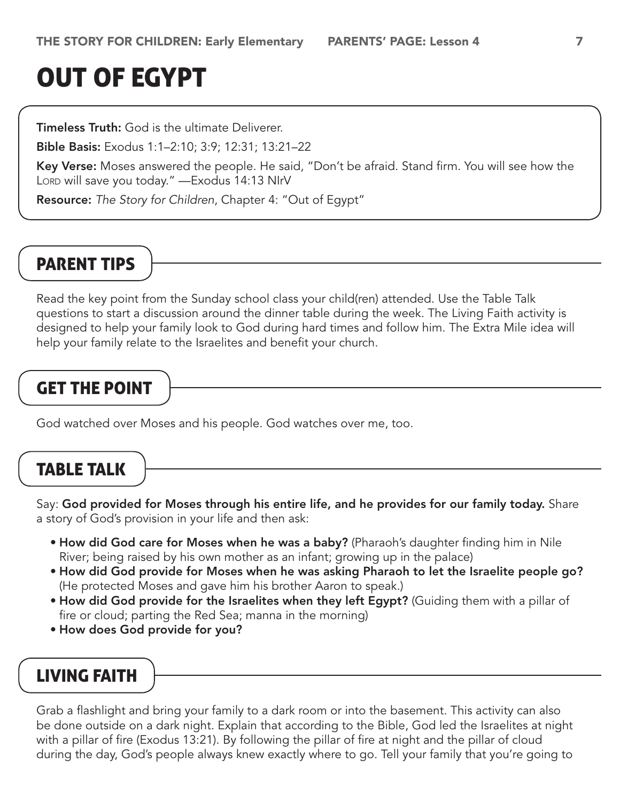# Out of Egypt

**Timeless Truth:** God is the ultimate Deliverer.

Bible Basis: Exodus 1:1–2:10; 3:9; 12:31; 13:21–22

Key Verse: Moses answered the people. He said, "Don't be afraid. Stand firm. You will see how the Lord will save you today." - Exodus 14:13 NIrV

Resource: *The Story for Children*, Chapter 4: "Out of Egypt"

#### Parent Tips

Read the key point from the Sunday school class your child(ren) attended. Use the Table Talk questions to start a discussion around the dinner table during the week. The Living Faith activity is designed to help your family look to God during hard times and follow him. The Extra Mile idea will help your family relate to the Israelites and benefit your church.

### Get the Point

God watched over Moses and his people. God watches over me, too.

#### Table Talk

Say: God provided for Moses through his entire life, and he provides for our family today. Share a story of God's provision in your life and then ask:

- How did God care for Moses when he was a baby? (Pharaoh's daughter finding him in Nile River; being raised by his own mother as an infant; growing up in the palace)
- How did God provide for Moses when he was asking Pharaoh to let the Israelite people go? (He protected Moses and gave him his brother Aaron to speak.)
- How did God provide for the Israelites when they left Egypt? (Guiding them with a pillar of fire or cloud; parting the Red Sea; manna in the morning)
- How does God provide for you?

#### Living Faith

Grab a flashlight and bring your family to a dark room or into the basement. This activity can also be done outside on a dark night. Explain that according to the Bible, God led the Israelites at night with a pillar of fire (Exodus 13:21). By following the pillar of fire at night and the pillar of cloud during the day, God's people always knew exactly where to go. Tell your family that you're going to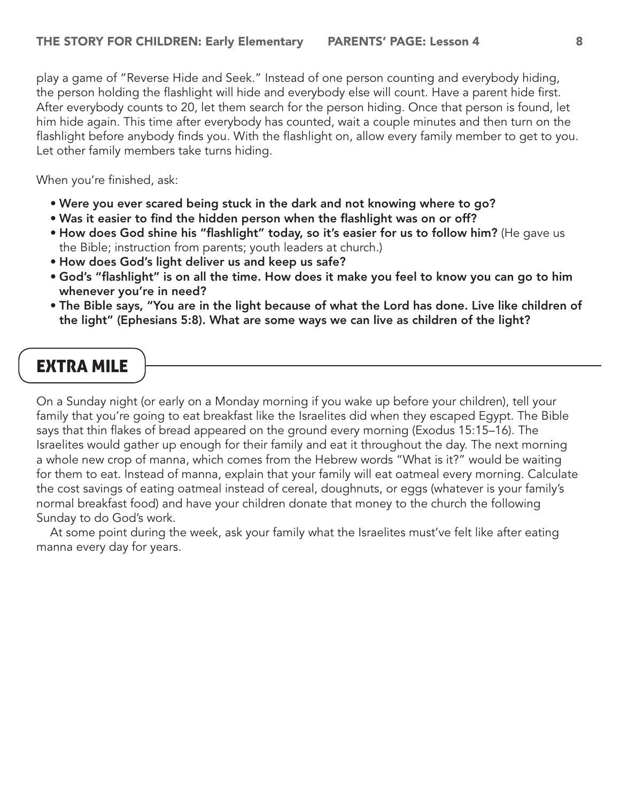play a game of "Reverse Hide and Seek." Instead of one person counting and everybody hiding, the person holding the flashlight will hide and everybody else will count. Have a parent hide first. After everybody counts to 20, let them search for the person hiding. Once that person is found, let him hide again. This time after everybody has counted, wait a couple minutes and then turn on the flashlight before anybody finds you. With the flashlight on, allow every family member to get to you. Let other family members take turns hiding.

When you're finished, ask:

- Were you ever scared being stuck in the dark and not knowing where to go?
- Was it easier to find the hidden person when the flashlight was on or off?
- How does God shine his "flashlight" today, so it's easier for us to follow him? (He gave us the Bible; instruction from parents; youth leaders at church.)
- How does God's light deliver us and keep us safe?
- God's "flashlight" is on all the time. How does it make you feel to know you can go to him whenever you're in need?
- The Bible says, "You are in the light because of what the Lord has done. Live like children of the light" (Ephesians 5:8). What are some ways we can live as children of the light?

### Extra Mile

On a Sunday night (or early on a Monday morning if you wake up before your children), tell your family that you're going to eat breakfast like the Israelites did when they escaped Egypt. The Bible says that thin flakes of bread appeared on the ground every morning (Exodus 15:15–16). The Israelites would gather up enough for their family and eat it throughout the day. The next morning a whole new crop of manna, which comes from the Hebrew words "What is it?" would be waiting for them to eat. Instead of manna, explain that your family will eat oatmeal every morning. Calculate the cost savings of eating oatmeal instead of cereal, doughnuts, or eggs (whatever is your family's normal breakfast food) and have your children donate that money to the church the following Sunday to do God's work.

At some point during the week, ask your family what the Israelites must've felt like after eating manna every day for years.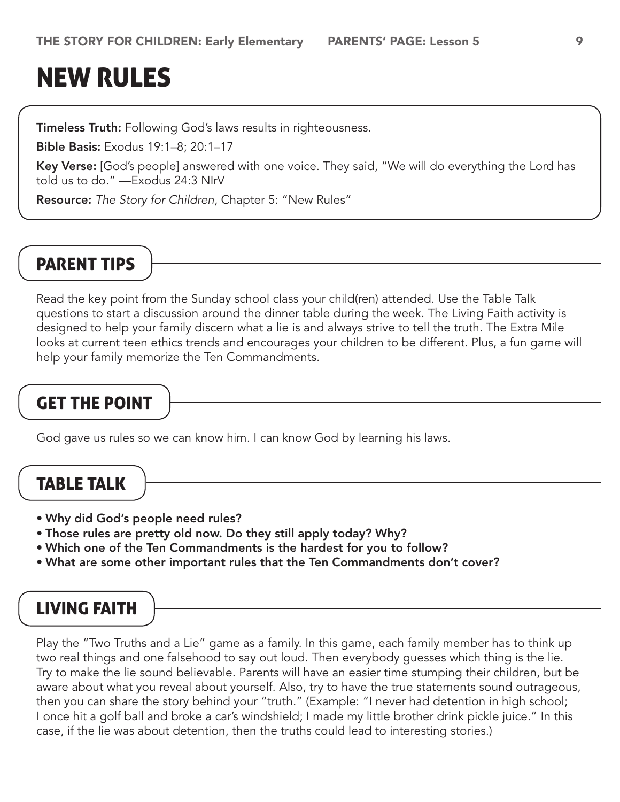# New Rules

**Timeless Truth:** Following God's laws results in righteousness.

Bible Basis: Exodus 19:1–8; 20:1–17

Key Verse: [God's people] answered with one voice. They said, "We will do everything the Lord has told us to do." —Exodus 24:3 NIrV

Resource: *The Story for Children*, Chapter 5: "New Rules"

#### Parent Tips

Read the key point from the Sunday school class your child(ren) attended. Use the Table Talk questions to start a discussion around the dinner table during the week. The Living Faith activity is designed to help your family discern what a lie is and always strive to tell the truth. The Extra Mile looks at current teen ethics trends and encourages your children to be different. Plus, a fun game will help your family memorize the Ten Commandments.

### Get the Point

God gave us rules so we can know him. I can know God by learning his laws.

#### Table Talk

- Why did God's people need rules?
- Those rules are pretty old now. Do they still apply today? Why?
- Which one of the Ten Commandments is the hardest for you to follow?
- What are some other important rules that the Ten Commandments don't cover?

#### Living Faith

Play the "Two Truths and a Lie" game as a family. In this game, each family member has to think up two real things and one falsehood to say out loud. Then everybody guesses which thing is the lie. Try to make the lie sound believable. Parents will have an easier time stumping their children, but be aware about what you reveal about yourself. Also, try to have the true statements sound outrageous, then you can share the story behind your "truth." (Example: "I never had detention in high school; I once hit a golf ball and broke a car's windshield; I made my little brother drink pickle juice." In this case, if the lie was about detention, then the truths could lead to interesting stories.)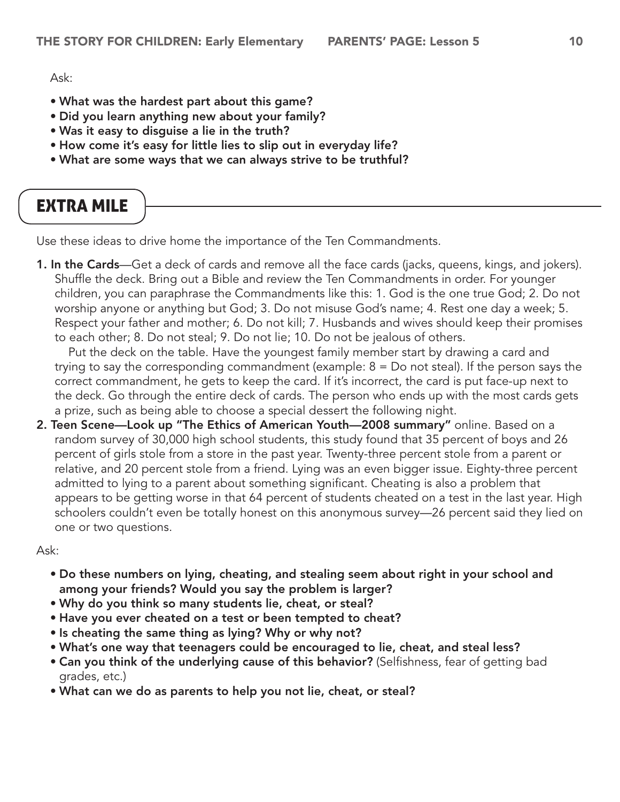Ask:

- What was the hardest part about this game?
- Did you learn anything new about your family?
- Was it easy to disguise a lie in the truth?
- How come it's easy for little lies to slip out in everyday life?
- What are some ways that we can always strive to be truthful?

# Extra Mile

Use these ideas to drive home the importance of the Ten Commandments.

**1. In the Cards**—Get a deck of cards and remove all the face cards (jacks, queens, kings, and jokers). Shuffle the deck. Bring out a Bible and review the Ten Commandments in order. For younger children, you can paraphrase the Commandments like this: 1. God is the one true God; 2. Do not worship anyone or anything but God; 3. Do not misuse God's name; 4. Rest one day a week; 5. Respect your father and mother; 6. Do not kill; 7. Husbands and wives should keep their promises to each other; 8. Do not steal; 9. Do not lie; 10. Do not be jealous of others.

Put the deck on the table. Have the youngest family member start by drawing a card and trying to say the corresponding commandment (example: 8 = Do not steal). If the person says the correct commandment, he gets to keep the card. If it's incorrect, the card is put face-up next to the deck. Go through the entire deck of cards. The person who ends up with the most cards gets a prize, such as being able to choose a special dessert the following night.

2. Teen Scene—Look up "The Ethics of American Youth—2008 summary" online. Based on a random survey of 30,000 high school students, this study found that 35 percent of boys and 26 percent of girls stole from a store in the past year. Twenty-three percent stole from a parent or relative, and 20 percent stole from a friend. Lying was an even bigger issue. Eighty-three percent admitted to lying to a parent about something significant. Cheating is also a problem that appears to be getting worse in that 64 percent of students cheated on a test in the last year. High schoolers couldn't even be totally honest on this anonymous survey—26 percent said they lied on one or two questions.

Ask:

- Do these numbers on lying, cheating, and stealing seem about right in your school and among your friends? Would you say the problem is larger?
- Why do you think so many students lie, cheat, or steal?
- Have you ever cheated on a test or been tempted to cheat?
- Is cheating the same thing as lying? Why or why not?
- What's one way that teenagers could be encouraged to lie, cheat, and steal less?
- Can you think of the underlying cause of this behavior? (Selfishness, fear of getting bad grades, etc.)
- What can we do as parents to help you not lie, cheat, or steal?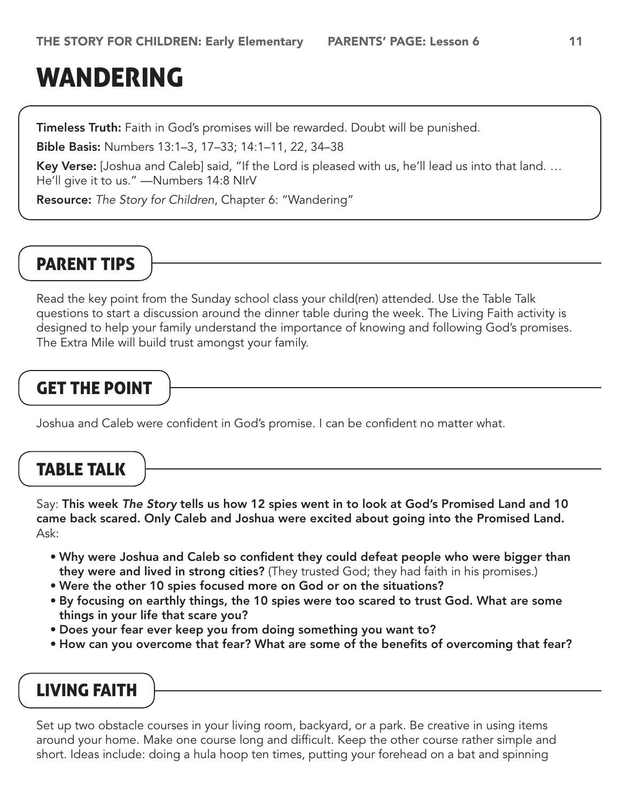# **WANDERING**

Timeless Truth: Faith in God's promises will be rewarded. Doubt will be punished.

Bible Basis: Numbers 13:1–3, 17–33; 14:1–11, 22, 34–38

Key Verse: [Joshua and Caleb] said, "If the Lord is pleased with us, he'll lead us into that land. ... He'll give it to us." —Numbers 14:8 NIrV

Resource: *The Story for Children*, Chapter 6: "Wandering"

#### Parent Tips

Read the key point from the Sunday school class your child(ren) attended. Use the Table Talk questions to start a discussion around the dinner table during the week. The Living Faith activity is designed to help your family understand the importance of knowing and following God's promises. The Extra Mile will build trust amongst your family.

## Get the Point

Joshua and Caleb were confident in God's promise. I can be confident no matter what.

#### Table Talk

Say: This week *The Story* tells us how 12 spies went in to look at God's Promised Land and 10 came back scared. Only Caleb and Joshua were excited about going into the Promised Land. Ask:

- Why were Joshua and Caleb so confident they could defeat people who were bigger than they were and lived in strong cities? (They trusted God; they had faith in his promises.)
- Were the other 10 spies focused more on God or on the situations?
- By focusing on earthly things, the 10 spies were too scared to trust God. What are some things in your life that scare you?
- Does your fear ever keep you from doing something you want to?
- How can you overcome that fear? What are some of the benefits of overcoming that fear?

#### Living Faith

Set up two obstacle courses in your living room, backyard, or a park. Be creative in using items around your home. Make one course long and difficult. Keep the other course rather simple and short. Ideas include: doing a hula hoop ten times, putting your forehead on a bat and spinning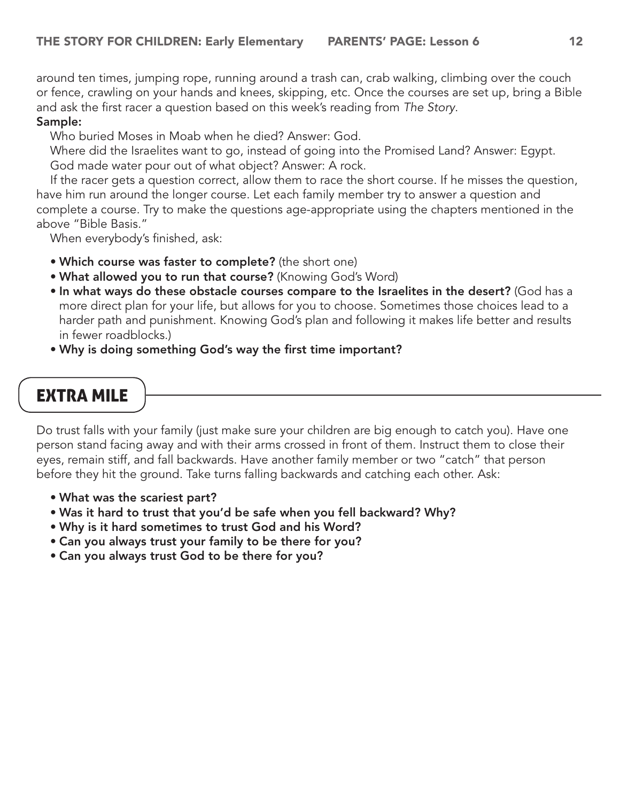around ten times, jumping rope, running around a trash can, crab walking, climbing over the couch or fence, crawling on your hands and knees, skipping, etc. Once the courses are set up, bring a Bible and ask the first racer a question based on this week's reading from *The Story*.

#### Sample:

Who buried Moses in Moab when he died? Answer: God.

Where did the Israelites want to go, instead of going into the Promised Land? Answer: Egypt. God made water pour out of what object? Answer: A rock.

If the racer gets a question correct, allow them to race the short course. If he misses the question, have him run around the longer course. Let each family member try to answer a question and complete a course. Try to make the questions age-appropriate using the chapters mentioned in the above "Bible Basis."

When everybody's finished, ask:

- Which course was faster to complete? (the short one)
- What allowed you to run that course? (Knowing God's Word)
- In what ways do these obstacle courses compare to the Israelites in the desert? (God has a more direct plan for your life, but allows for you to choose. Sometimes those choices lead to a harder path and punishment. Knowing God's plan and following it makes life better and results in fewer roadblocks.)
- Why is doing something God's way the first time important?

# Extra Mile

Do trust falls with your family (just make sure your children are big enough to catch you). Have one person stand facing away and with their arms crossed in front of them. Instruct them to close their eyes, remain stiff, and fall backwards. Have another family member or two "catch" that person before they hit the ground. Take turns falling backwards and catching each other. Ask:

- What was the scariest part?
- Was it hard to trust that you'd be safe when you fell backward? Why?
- Why is it hard sometimes to trust God and his Word?
- Can you always trust your family to be there for you?
- Can you always trust God to be there for you?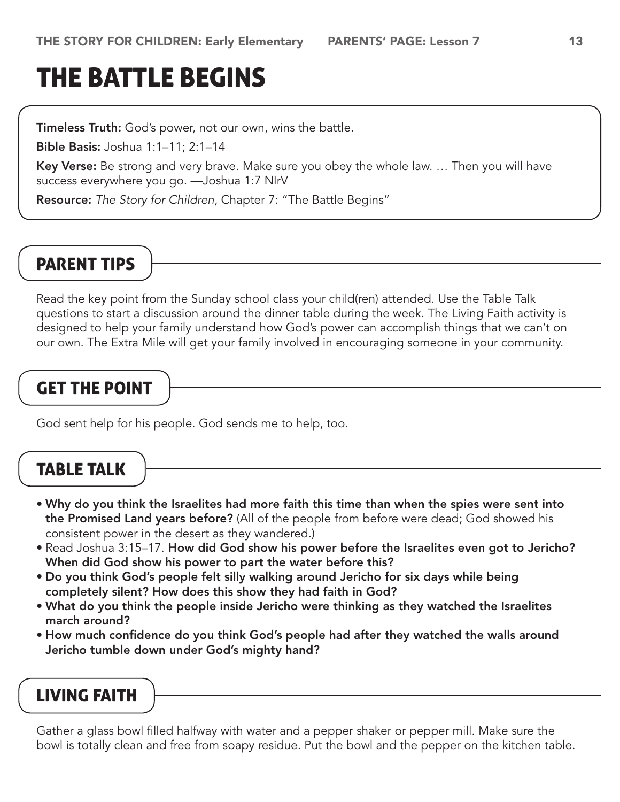# The Battle Begins

**Timeless Truth:** God's power, not our own, wins the battle.

Bible Basis: Joshua 1:1–11; 2:1–14

Key Verse: Be strong and very brave. Make sure you obey the whole law. ... Then you will have success everywhere you go. —Joshua 1:7 NIrV

Resource: *The Story for Children*, Chapter 7: "The Battle Begins"

## Parent Tips

Read the key point from the Sunday school class your child(ren) attended. Use the Table Talk questions to start a discussion around the dinner table during the week. The Living Faith activity is designed to help your family understand how God's power can accomplish things that we can't on our own. The Extra Mile will get your family involved in encouraging someone in your community.

## Get the Point

God sent help for his people. God sends me to help, too.

#### Table Talk

- Why do you think the Israelites had more faith this time than when the spies were sent into the Promised Land years before? (All of the people from before were dead; God showed his consistent power in the desert as they wandered.)
- Read Joshua 3:15–17. How did God show his power before the Israelites even got to Jericho? When did God show his power to part the water before this?
- Do you think God's people felt silly walking around Jericho for six days while being completely silent? How does this show they had faith in God?
- What do you think the people inside Jericho were thinking as they watched the Israelites march around?
- How much confidence do you think God's people had after they watched the walls around Jericho tumble down under God's mighty hand?

## Living Faith

Gather a glass bowl filled halfway with water and a pepper shaker or pepper mill. Make sure the bowl is totally clean and free from soapy residue. Put the bowl and the pepper on the kitchen table.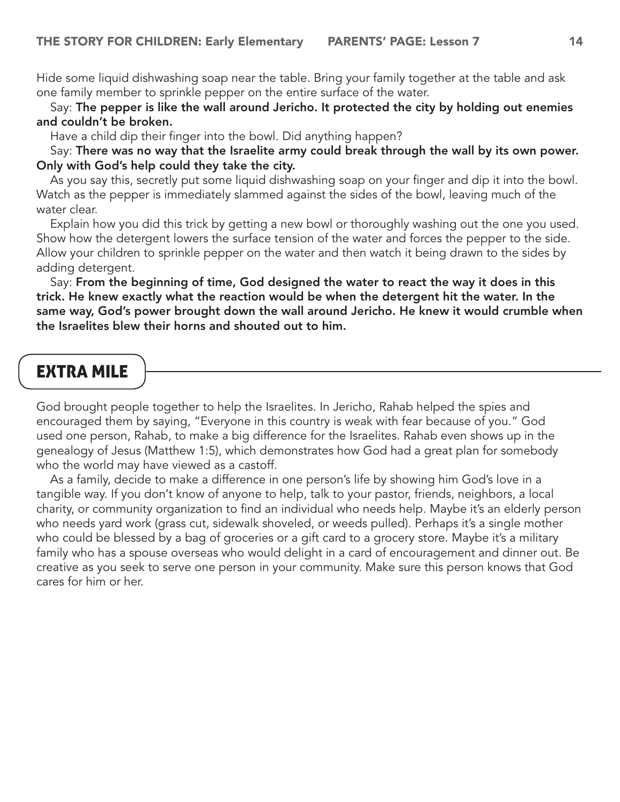Hide some liquid dishwashing soap near the table. Bring your family together at the table and ask one family member to sprinkle pepper on the entire surface of the water.

Say: The pepper is like the wall around Jericho. It protected the city by holding out enemies and couldn't be broken.

Have a child dip their finger into the bowl. Did anything happen?

Say: There was no way that the Israelite army could break through the wall by its own power. Only with God's help could they take the city.

As you say this, secretly put some liquid dishwashing soap on your finger and dip it into the bowl. Watch as the pepper is immediately slammed against the sides of the bowl, leaving much of the water clear.

Explain how you did this trick by getting a new bowl or thoroughly washing out the one you used. Show how the detergent lowers the surface tension of the water and forces the pepper to the side. Allow your children to sprinkle pepper on the water and then watch it being drawn to the sides by adding detergent.

Say: From the beginning of time, God designed the water to react the way it does in this trick. He knew exactly what the reaction would be when the detergent hit the water. In the same way, God's power brought down the wall around Jericho. He knew it would crumble when the Israelites blew their horns and shouted out to him.

#### Extra Mile

God brought people together to help the Israelites. In Jericho, Rahab helped the spies and encouraged them by saying, "Everyone in this country is weak with fear because of you." God used one person, Rahab, to make a big difference for the Israelites. Rahab even shows up in the genealogy of Jesus (Matthew 1:5), which demonstrates how God had a great plan for somebody who the world may have viewed as a castoff.

As a family, decide to make a difference in one person's life by showing him God's love in a tangible way. If you don't know of anyone to help, talk to your pastor, friends, neighbors, a local charity, or community organization to find an individual who needs help. Maybe it's an elderly person who needs yard work (grass cut, sidewalk shoveled, or weeds pulled). Perhaps it's a single mother who could be blessed by a bag of groceries or a gift card to a grocery store. Maybe it's a military family who has a spouse overseas who would delight in a card of encouragement and dinner out. Be creative as you seek to serve one person in your community. Make sure this person knows that God cares for him or her.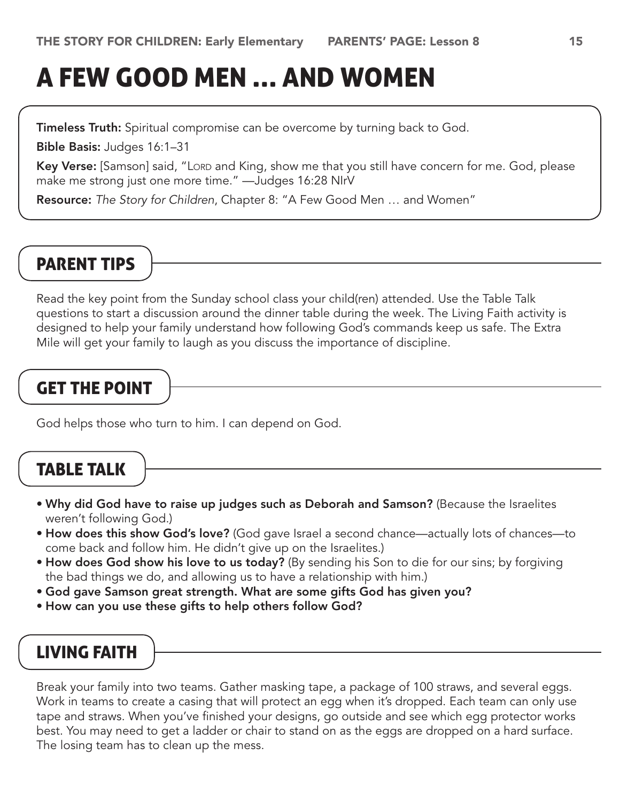# A Few Good Men … and Women

**Timeless Truth:** Spiritual compromise can be overcome by turning back to God.

Bible Basis: Judges 16:1–31

Key Verse: [Samson] said, "Lord and King, show me that you still have concern for me. God, please make me strong just one more time." —Judges 16:28 NIrV

Resource: *The Story for Children*, Chapter 8: "A Few Good Men … and Women"

#### Parent Tips

Read the key point from the Sunday school class your child(ren) attended. Use the Table Talk questions to start a discussion around the dinner table during the week. The Living Faith activity is designed to help your family understand how following God's commands keep us safe. The Extra Mile will get your family to laugh as you discuss the importance of discipline.

## Get the Point

God helps those who turn to him. I can depend on God.

#### Table Talk

- Why did God have to raise up judges such as Deborah and Samson? (Because the Israelites weren't following God.)
- How does this show God's love? (God gave Israel a second chance—actually lots of chances—to come back and follow him. He didn't give up on the Israelites.)
- How does God show his love to us today? (By sending his Son to die for our sins; by forgiving the bad things we do, and allowing us to have a relationship with him.)
- God gave Samson great strength. What are some gifts God has given you?
- How can you use these gifts to help others follow God?

## Living Faith

Break your family into two teams. Gather masking tape, a package of 100 straws, and several eggs. Work in teams to create a casing that will protect an egg when it's dropped. Each team can only use tape and straws. When you've finished your designs, go outside and see which egg protector works best. You may need to get a ladder or chair to stand on as the eggs are dropped on a hard surface. The losing team has to clean up the mess.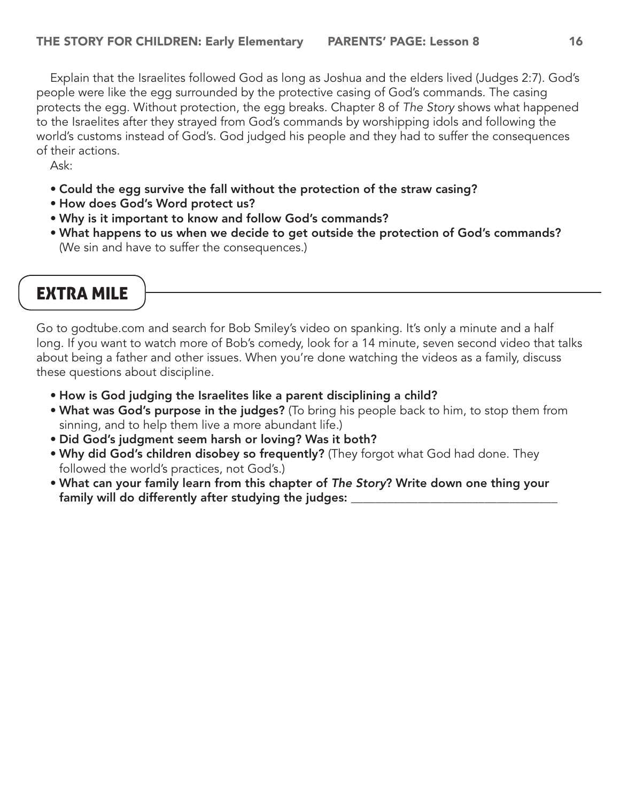Explain that the Israelites followed God as long as Joshua and the elders lived (Judges 2:7). God's people were like the egg surrounded by the protective casing of God's commands. The casing protects the egg. Without protection, the egg breaks. Chapter 8 of *The Story* shows what happened to the Israelites after they strayed from God's commands by worshipping idols and following the world's customs instead of God's. God judged his people and they had to suffer the consequences of their actions.

Ask:

- Could the egg survive the fall without the protection of the straw casing?
- How does God's Word protect us?
- Why is it important to know and follow God's commands?
- What happens to us when we decide to get outside the protection of God's commands? (We sin and have to suffer the consequences.)

# Extra Mile

Go to godtube.com and search for Bob Smiley's video on spanking. It's only a minute and a half long. If you want to watch more of Bob's comedy, look for a 14 minute, seven second video that talks about being a father and other issues. When you're done watching the videos as a family, discuss these questions about discipline.

- How is God judging the Israelites like a parent disciplining a child?
- What was God's purpose in the judges? (To bring his people back to him, to stop them from sinning, and to help them live a more abundant life.)
- Did God's judgment seem harsh or loving? Was it both?
- Why did God's children disobey so frequently? (They forgot what God had done. They followed the world's practices, not God's.)
- What can your family learn from this chapter of *The Story*? Write down one thing your family will do differently after studying the judges: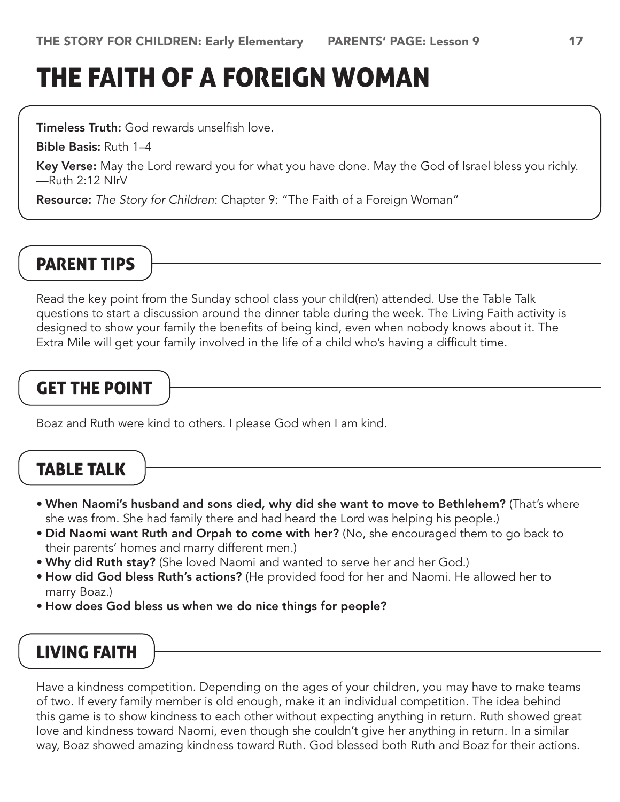# The Faith of a Foreign Woman

**Timeless Truth:** God rewards unselfish love.

Bible Basis: Ruth 1–4

Key Verse: May the Lord reward you for what you have done. May the God of Israel bless you richly. —Ruth 2:12 NIrV

Resource: *The Story for Children*: Chapter 9: "The Faith of a Foreign Woman"

## Parent Tips

Read the key point from the Sunday school class your child(ren) attended. Use the Table Talk questions to start a discussion around the dinner table during the week. The Living Faith activity is designed to show your family the benefits of being kind, even when nobody knows about it. The Extra Mile will get your family involved in the life of a child who's having a difficult time.

# **GET THE POINT**

Boaz and Ruth were kind to others. I please God when I am kind.

# Table Talk

- When Naomi's husband and sons died, why did she want to move to Bethlehem? (That's where she was from. She had family there and had heard the Lord was helping his people.)
- Did Naomi want Ruth and Orpah to come with her? (No, she encouraged them to go back to their parents' homes and marry different men.)
- Why did Ruth stay? (She loved Naomi and wanted to serve her and her God.)
- How did God bless Ruth's actions? (He provided food for her and Naomi. He allowed her to marry Boaz.)
- How does God bless us when we do nice things for people?

# Living Faith

Have a kindness competition. Depending on the ages of your children, you may have to make teams of two. If every family member is old enough, make it an individual competition. The idea behind this game is to show kindness to each other without expecting anything in return. Ruth showed great love and kindness toward Naomi, even though she couldn't give her anything in return. In a similar way, Boaz showed amazing kindness toward Ruth. God blessed both Ruth and Boaz for their actions.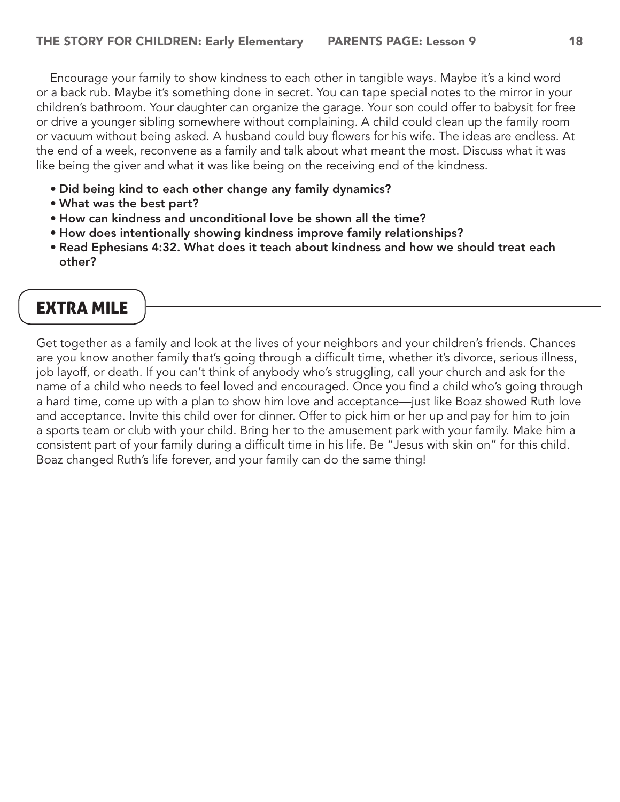Encourage your family to show kindness to each other in tangible ways. Maybe it's a kind word or a back rub. Maybe it's something done in secret. You can tape special notes to the mirror in your children's bathroom. Your daughter can organize the garage. Your son could offer to babysit for free or drive a younger sibling somewhere without complaining. A child could clean up the family room or vacuum without being asked. A husband could buy flowers for his wife. The ideas are endless. At the end of a week, reconvene as a family and talk about what meant the most. Discuss what it was like being the giver and what it was like being on the receiving end of the kindness.

- Did being kind to each other change any family dynamics?
- What was the best part?
- How can kindness and unconditional love be shown all the time?
- How does intentionally showing kindness improve family relationships?
- Read Ephesians 4:32. What does it teach about kindness and how we should treat each other?

# Extra Mile

Get together as a family and look at the lives of your neighbors and your children's friends. Chances are you know another family that's going through a difficult time, whether it's divorce, serious illness, job layoff, or death. If you can't think of anybody who's struggling, call your church and ask for the name of a child who needs to feel loved and encouraged. Once you find a child who's going through a hard time, come up with a plan to show him love and acceptance—just like Boaz showed Ruth love and acceptance. Invite this child over for dinner. Offer to pick him or her up and pay for him to join a sports team or club with your child. Bring her to the amusement park with your family. Make him a consistent part of your family during a difficult time in his life. Be "Jesus with skin on" for this child. Boaz changed Ruth's life forever, and your family can do the same thing!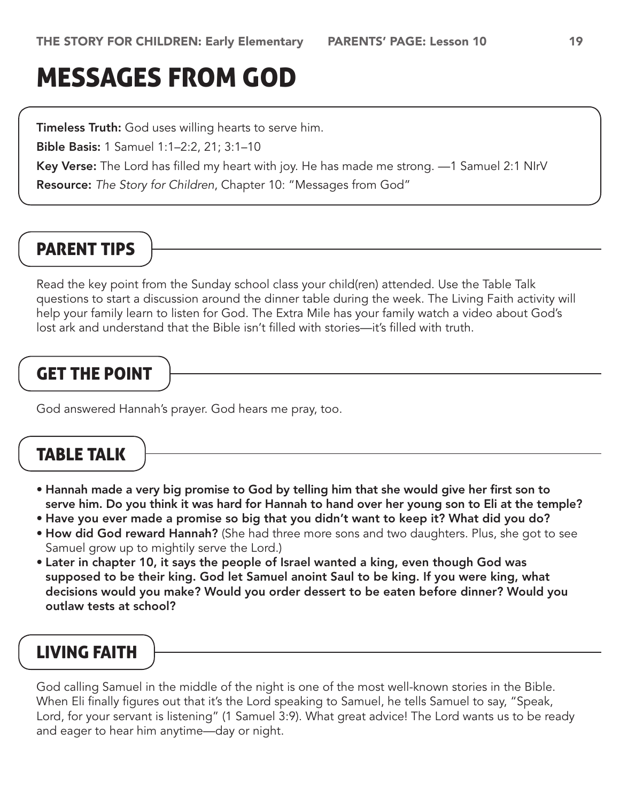# Messages from God

**Timeless Truth:** God uses willing hearts to serve him.

Bible Basis: 1 Samuel 1:1–2:2, 21; 3:1–10

Key Verse: The Lord has filled my heart with joy. He has made me strong.  $-1$  Samuel 2:1 NIrV

Resource: *The Story for Children*, Chapter 10: "Messages from God"

# Parent Tips

Read the key point from the Sunday school class your child(ren) attended. Use the Table Talk questions to start a discussion around the dinner table during the week. The Living Faith activity will help your family learn to listen for God. The Extra Mile has your family watch a video about God's lost ark and understand that the Bible isn't filled with stories—it's filled with truth.

# Get the Point

God answered Hannah's prayer. God hears me pray, too.

# Table Talk

- Hannah made a very big promise to God by telling him that she would give her first son to serve him. Do you think it was hard for Hannah to hand over her young son to Eli at the temple?
- Have you ever made a promise so big that you didn't want to keep it? What did you do?
- How did God reward Hannah? (She had three more sons and two daughters. Plus, she got to see Samuel grow up to mightily serve the Lord.)
- Later in chapter 10, it says the people of Israel wanted a king, even though God was supposed to be their king. God let Samuel anoint Saul to be king. If you were king, what decisions would you make? Would you order dessert to be eaten before dinner? Would you outlaw tests at school?

# Living Faith

God calling Samuel in the middle of the night is one of the most well-known stories in the Bible. When Eli finally figures out that it's the Lord speaking to Samuel, he tells Samuel to say, "Speak, Lord, for your servant is listening" (1 Samuel 3:9). What great advice! The Lord wants us to be ready and eager to hear him anytime—day or night.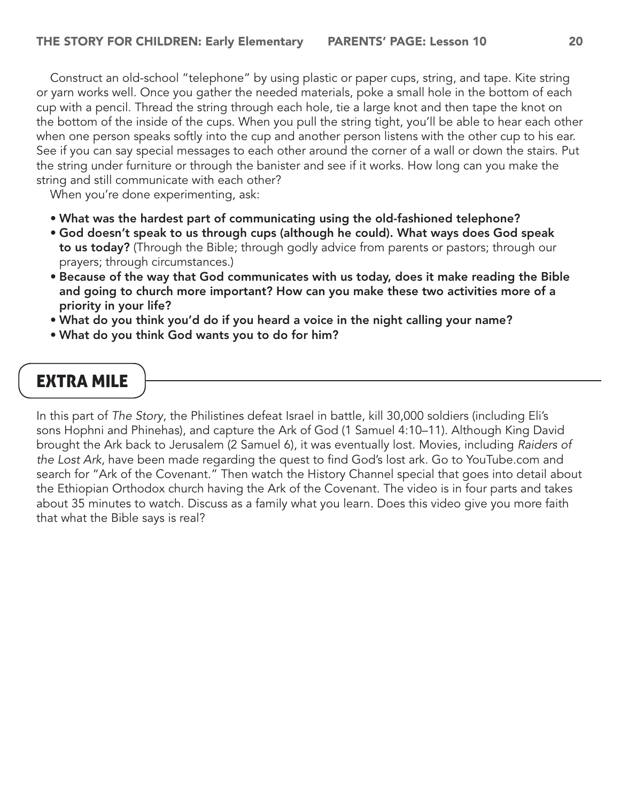Construct an old-school "telephone" by using plastic or paper cups, string, and tape. Kite string or yarn works well. Once you gather the needed materials, poke a small hole in the bottom of each cup with a pencil. Thread the string through each hole, tie a large knot and then tape the knot on the bottom of the inside of the cups. When you pull the string tight, you'll be able to hear each other when one person speaks softly into the cup and another person listens with the other cup to his ear. See if you can say special messages to each other around the corner of a wall or down the stairs. Put the string under furniture or through the banister and see if it works. How long can you make the string and still communicate with each other?

When you're done experimenting, ask:

- What was the hardest part of communicating using the old-fashioned telephone?
- God doesn't speak to us through cups (although he could). What ways does God speak to us today? (Through the Bible; through godly advice from parents or pastors; through our prayers; through circumstances.)
- Because of the way that God communicates with us today, does it make reading the Bible and going to church more important? How can you make these two activities more of a priority in your life?
- What do you think you'd do if you heard a voice in the night calling your name?
- What do you think God wants you to do for him?

# Extra Mile

In this part of *The Story*, the Philistines defeat Israel in battle, kill 30,000 soldiers (including Eli's sons Hophni and Phinehas), and capture the Ark of God (1 Samuel 4:10–11). Although King David brought the Ark back to Jerusalem (2 Samuel 6), it was eventually lost. Movies, including *Raiders of the Lost Ark*, have been made regarding the quest to find God's lost ark. Go to YouTube.com and search for "Ark of the Covenant." Then watch the History Channel special that goes into detail about the Ethiopian Orthodox church having the Ark of the Covenant. The video is in four parts and takes about 35 minutes to watch. Discuss as a family what you learn. Does this video give you more faith that what the Bible says is real?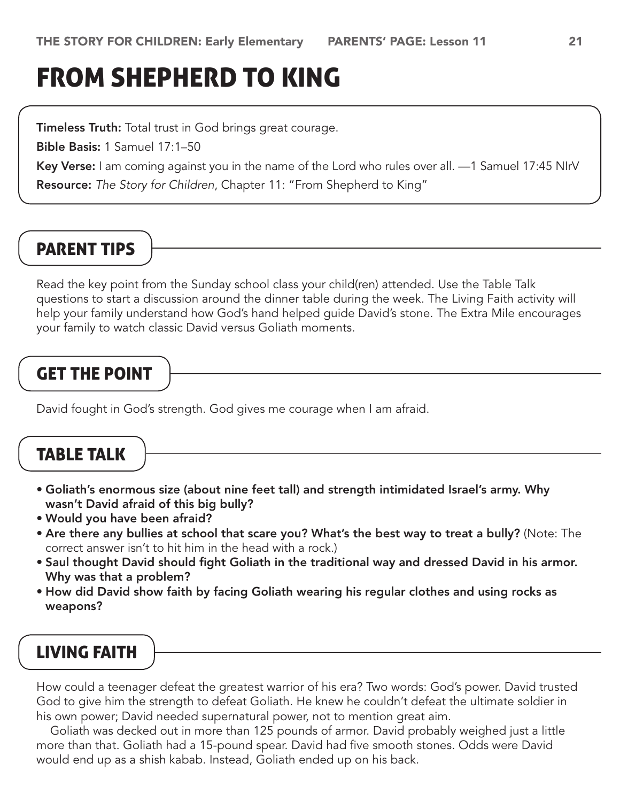# From Shepherd to King

**Timeless Truth:** Total trust in God brings great courage.

Bible Basis: 1 Samuel 17:1–50

Key Verse: I am coming against you in the name of the Lord who rules over all. —1 Samuel 17:45 NIrV Resource: *The Story for Children*, Chapter 11: "From Shepherd to King"

# Parent Tips

Read the key point from the Sunday school class your child(ren) attended. Use the Table Talk questions to start a discussion around the dinner table during the week. The Living Faith activity will help your family understand how God's hand helped guide David's stone. The Extra Mile encourages your family to watch classic David versus Goliath moments.

#### Get the Point

David fought in God's strength. God gives me courage when I am afraid.

### Table Talk

- Goliath's enormous size (about nine feet tall) and strength intimidated Israel's army. Why wasn't David afraid of this big bully?
- Would you have been afraid?
- Are there any bullies at school that scare you? What's the best way to treat a bully? (Note: The correct answer isn't to hit him in the head with a rock.)
- Saul thought David should fight Goliath in the traditional way and dressed David in his armor. Why was that a problem?
- How did David show faith by facing Goliath wearing his regular clothes and using rocks as weapons?

#### Living Faith

How could a teenager defeat the greatest warrior of his era? Two words: God's power. David trusted God to give him the strength to defeat Goliath. He knew he couldn't defeat the ultimate soldier in his own power; David needed supernatural power, not to mention great aim.

Goliath was decked out in more than 125 pounds of armor. David probably weighed just a little more than that. Goliath had a 15-pound spear. David had five smooth stones. Odds were David would end up as a shish kabab. Instead, Goliath ended up on his back.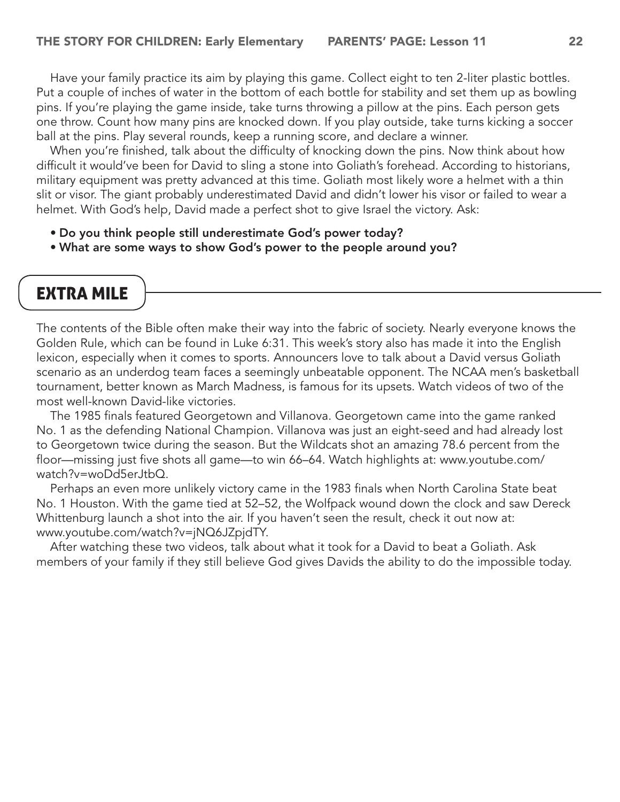Have your family practice its aim by playing this game. Collect eight to ten 2-liter plastic bottles. Put a couple of inches of water in the bottom of each bottle for stability and set them up as bowling pins. If you're playing the game inside, take turns throwing a pillow at the pins. Each person gets one throw. Count how many pins are knocked down. If you play outside, take turns kicking a soccer ball at the pins. Play several rounds, keep a running score, and declare a winner.

When you're finished, talk about the difficulty of knocking down the pins. Now think about how difficult it would've been for David to sling a stone into Goliath's forehead. According to historians, military equipment was pretty advanced at this time. Goliath most likely wore a helmet with a thin slit or visor. The giant probably underestimated David and didn't lower his visor or failed to wear a helmet. With God's help, David made a perfect shot to give Israel the victory. Ask:

- Do you think people still underestimate God's power today?
- What are some ways to show God's power to the people around you?

#### **EXTRA MILE**

The contents of the Bible often make their way into the fabric of society. Nearly everyone knows the Golden Rule, which can be found in Luke 6:31. This week's story also has made it into the English lexicon, especially when it comes to sports. Announcers love to talk about a David versus Goliath scenario as an underdog team faces a seemingly unbeatable opponent. The NCAA men's basketball tournament, better known as March Madness, is famous for its upsets. Watch videos of two of the most well-known David-like victories.

The 1985 finals featured Georgetown and Villanova. Georgetown came into the game ranked No. 1 as the defending National Champion. Villanova was just an eight-seed and had already lost to Georgetown twice during the season. But the Wildcats shot an amazing 78.6 percent from the floor—missing just five shots all game—to win 66–64. Watch highlights at: www.youtube.com/ watch?v=woDd5erJtbQ.

Perhaps an even more unlikely victory came in the 1983 finals when North Carolina State beat No. 1 Houston. With the game tied at 52–52, the Wolfpack wound down the clock and saw Dereck Whittenburg launch a shot into the air. If you haven't seen the result, check it out now at: www.youtube.com/watch?v=jNQ6JZpjdTY.

After watching these two videos, talk about what it took for a David to beat a Goliath. Ask members of your family if they still believe God gives Davids the ability to do the impossible today.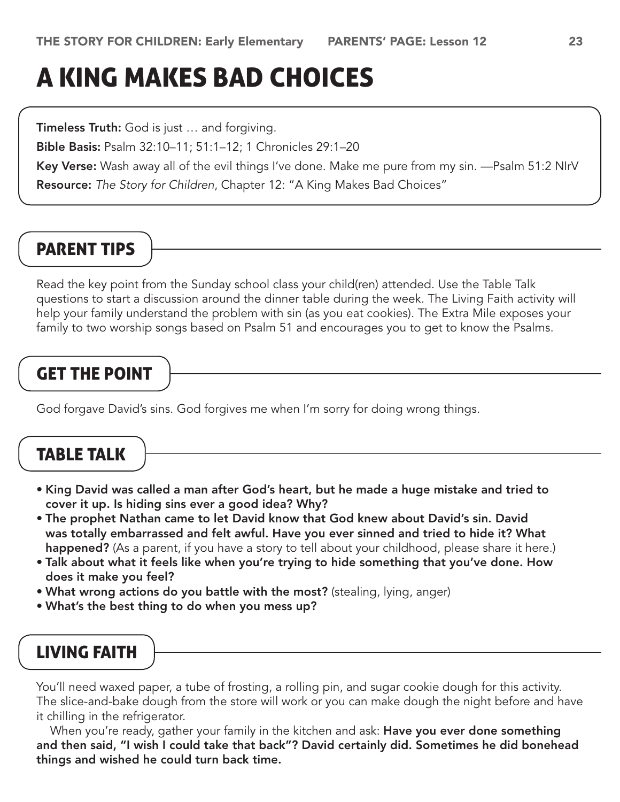# A King Makes Bad Choices

**Timeless Truth:** God is just ... and forgiving.

Bible Basis: Psalm 32:10–11; 51:1–12; 1 Chronicles 29:1–20

Key Verse: Wash away all of the evil things I've done. Make me pure from my sin. — Psalm 51:2 NIrV

Resource: *The Story for Children*, Chapter 12: "A King Makes Bad Choices"

# Parent Tips

Read the key point from the Sunday school class your child(ren) attended. Use the Table Talk questions to start a discussion around the dinner table during the week. The Living Faith activity will help your family understand the problem with sin (as you eat cookies). The Extra Mile exposes your family to two worship songs based on Psalm 51 and encourages you to get to know the Psalms.

# Get the Point

God forgave David's sins. God forgives me when I'm sorry for doing wrong things.

## Table Talk

- King David was called a man after God's heart, but he made a huge mistake and tried to cover it up. Is hiding sins ever a good idea? Why?
- The prophet Nathan came to let David know that God knew about David's sin. David was totally embarrassed and felt awful. Have you ever sinned and tried to hide it? What happened? (As a parent, if you have a story to tell about your childhood, please share it here.)
- Talk about what it feels like when you're trying to hide something that you've done. How does it make you feel?
- What wrong actions do you battle with the most? (stealing, lying, anger)
- What's the best thing to do when you mess up?

# Living Faith

You'll need waxed paper, a tube of frosting, a rolling pin, and sugar cookie dough for this activity. The slice-and-bake dough from the store will work or you can make dough the night before and have it chilling in the refrigerator.

When you're ready, gather your family in the kitchen and ask: Have you ever done something and then said, "I wish I could take that back"? David certainly did. Sometimes he did bonehead things and wished he could turn back time.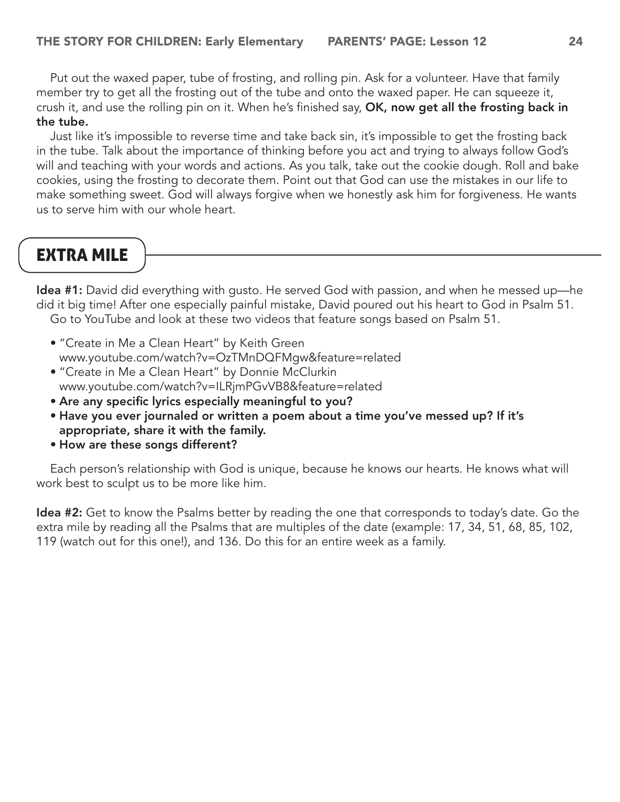Put out the waxed paper, tube of frosting, and rolling pin. Ask for a volunteer. Have that family member try to get all the frosting out of the tube and onto the waxed paper. He can squeeze it, crush it, and use the rolling pin on it. When he's finished say, OK, now get all the frosting back in the tube.

Just like it's impossible to reverse time and take back sin, it's impossible to get the frosting back in the tube. Talk about the importance of thinking before you act and trying to always follow God's will and teaching with your words and actions. As you talk, take out the cookie dough. Roll and bake cookies, using the frosting to decorate them. Point out that God can use the mistakes in our life to make something sweet. God will always forgive when we honestly ask him for forgiveness. He wants us to serve him with our whole heart.

# Extra Mile

Idea #1: David did everything with gusto. He served God with passion, and when he messed up—he did it big time! After one especially painful mistake, David poured out his heart to God in Psalm 51. Go to YouTube and look at these two videos that feature songs based on Psalm 51.

- "Create in Me a Clean Heart" by Keith Green www.youtube.com/watch?v=OzTMnDQFMgw&feature=related
- "Create in Me a Clean Heart" by Donnie McClurkin www.youtube.com/watch?v=ILRjmPGvVB8&feature=related
- Are any specific lyrics especially meaningful to you?
- Have you ever journaled or written a poem about a time you've messed up? If it's appropriate, share it with the family.
- How are these songs different?

Each person's relationship with God is unique, because he knows our hearts. He knows what will work best to sculpt us to be more like him.

Idea #2: Get to know the Psalms better by reading the one that corresponds to today's date. Go the extra mile by reading all the Psalms that are multiples of the date (example: 17, 34, 51, 68, 85, 102, 119 (watch out for this one!), and 136. Do this for an entire week as a family.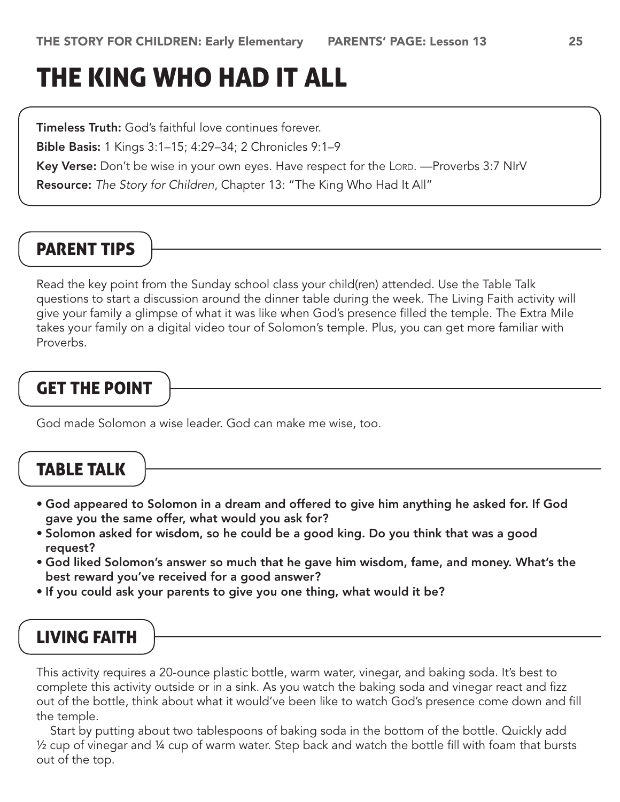# The King Who Had It All

**Timeless Truth:** God's faithful love continues forever.

Bible Basis: 1 Kings 3:1–15; 4:29*–*34; 2 Chronicles 9:1–9

Key Verse: Don't be wise in your own eyes. Have respect for the Lord. - Proverbs 3:7 NIrV

Resource: *The Story for Children*, Chapter 13: "The King Who Had It All"

# Parent Tips

Read the key point from the Sunday school class your child(ren) attended. Use the Table Talk questions to start a discussion around the dinner table during the week. The Living Faith activity will give your family a glimpse of what it was like when God's presence filled the temple. The Extra Mile takes your family on a digital video tour of Solomon's temple. Plus, you can get more familiar with Proverbs.

# Get the Point

God made Solomon a wise leader. God can make me wise, too.

#### Table Talk

- God appeared to Solomon in a dream and offered to give him anything he asked for. If God gave you the same offer, what would you ask for?
- Solomon asked for wisdom, so he could be a good king. Do you think that was a good request?
- God liked Solomon's answer so much that he gave him wisdom, fame, and money. What's the best reward you've received for a good answer?
- If you could ask your parents to give you one thing, what would it be?

#### Living Faith

This activity requires a 20-ounce plastic bottle, warm water, vinegar, and baking soda. It's best to complete this activity outside or in a sink. As you watch the baking soda and vinegar react and fizz out of the bottle, think about what it would've been like to watch God's presence come down and fill the temple.

Start by putting about two tablespoons of baking soda in the bottom of the bottle. Quickly add ½ cup of vinegar and ¼ cup of warm water. Step back and watch the bottle fill with foam that bursts out of the top.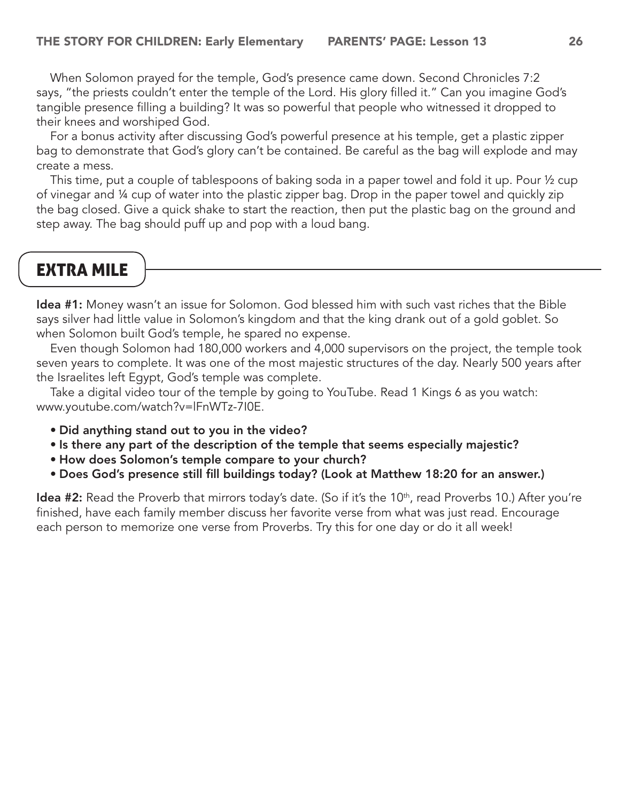When Solomon prayed for the temple, God's presence came down. Second Chronicles 7:2 says, "the priests couldn't enter the temple of the Lord. His glory filled it." Can you imagine God's tangible presence filling a building? It was so powerful that people who witnessed it dropped to their knees and worshiped God.

For a bonus activity after discussing God's powerful presence at his temple, get a plastic zipper bag to demonstrate that God's glory can't be contained. Be careful as the bag will explode and may create a mess.

This time, put a couple of tablespoons of baking soda in a paper towel and fold it up. Pour ½ cup of vinegar and ¼ cup of water into the plastic zipper bag. Drop in the paper towel and quickly zip the bag closed. Give a quick shake to start the reaction, then put the plastic bag on the ground and step away. The bag should puff up and pop with a loud bang.

## Extra Mile

Idea #1: Money wasn't an issue for Solomon. God blessed him with such vast riches that the Bible says silver had little value in Solomon's kingdom and that the king drank out of a gold goblet. So when Solomon built God's temple, he spared no expense.

Even though Solomon had 180,000 workers and 4,000 supervisors on the project, the temple took seven years to complete. It was one of the most majestic structures of the day. Nearly 500 years after the Israelites left Egypt, God's temple was complete.

Take a digital video tour of the temple by going to YouTube. Read 1 Kings 6 as you watch: www.youtube.com/watch?v=lFnWTz-7I0E.

- Did anything stand out to you in the video?
- Is there any part of the description of the temple that seems especially majestic?
- How does Solomon's temple compare to your church?
- Does God's presence still fill buildings today? (Look at Matthew 18:20 for an answer.)

**Idea #2:** Read the Proverb that mirrors today's date. (So if it's the 10<sup>th</sup>, read Proverbs 10.) After you're finished, have each family member discuss her favorite verse from what was just read. Encourage each person to memorize one verse from Proverbs. Try this for one day or do it all week!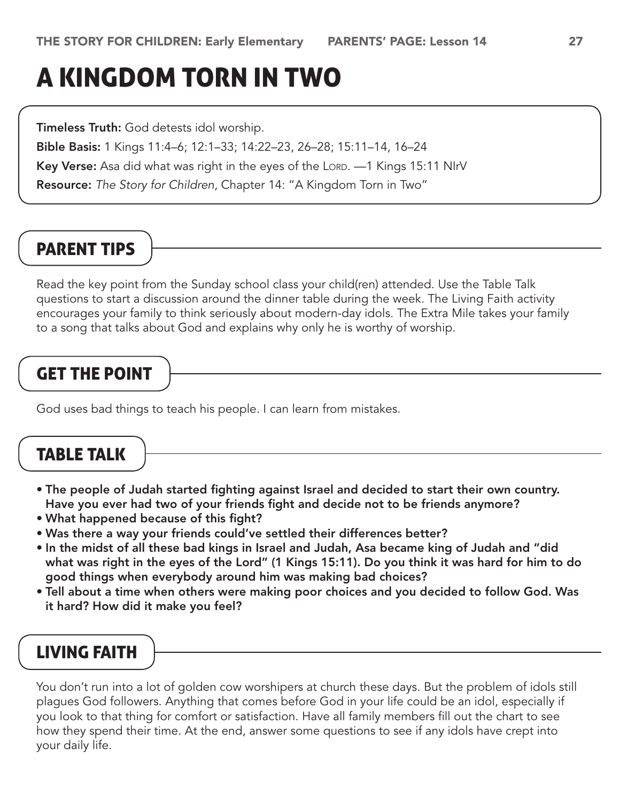# A Kingdom Torn in Two

Timeless Truth: God detests idol worship.

Bible Basis: 1 Kings 11:4–6; 12:1–33; 14:22–23, 26–28; 15:11–14, 16–24

Key Verse: Asa did what was right in the eyes of the Lord. —1 Kings 15:11 NIrV

Resource: *The Story for Children*, Chapter 14: "A Kingdom Torn in Two"

# Parent Tips

Read the key point from the Sunday school class your child(ren) attended. Use the Table Talk questions to start a discussion around the dinner table during the week. The Living Faith activity encourages your family to think seriously about modern-day idols. The Extra Mile takes your family to a song that talks about God and explains why only he is worthy of worship.

# Get the Point

God uses bad things to teach his people. I can learn from mistakes.

## Table Talk

- The people of Judah started fighting against Israel and decided to start their own country. Have you ever had two of your friends fight and decide not to be friends anymore?
- What happened because of this fight?
- Was there a way your friends could've settled their differences better?
- In the midst of all these bad kings in Israel and Judah, Asa became king of Judah and "did what was right in the eyes of the Lord" (1 Kings 15:11). Do you think it was hard for him to do good things when everybody around him was making bad choices?
- Tell about a time when others were making poor choices and you decided to follow God. Was it hard? How did it make you feel?

# Living Faith

You don't run into a lot of golden cow worshipers at church these days. But the problem of idols still plagues God followers. Anything that comes before God in your life could be an idol, especially if you look to that thing for comfort or satisfaction. Have all family members fill out the chart to see how they spend their time. At the end, answer some questions to see if any idols have crept into your daily life.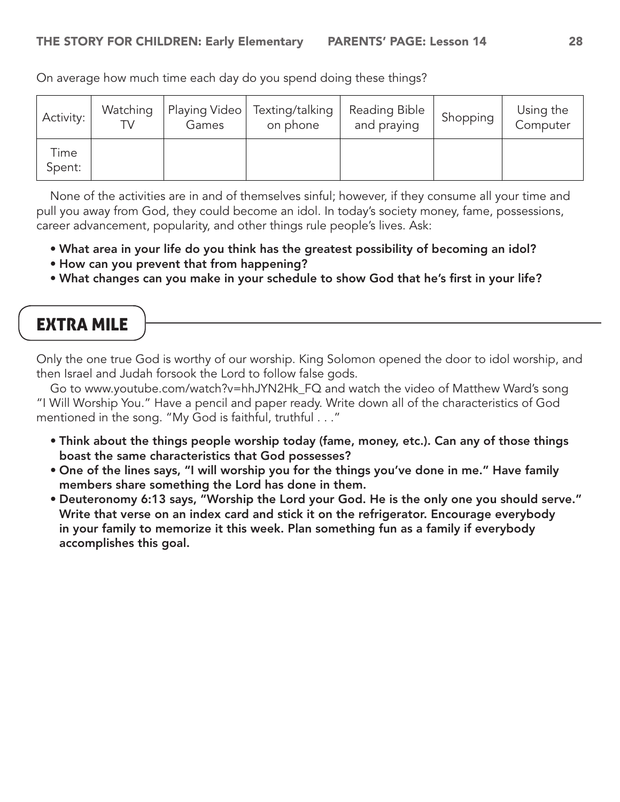| Activity:      | Watching | Games | Playing Video   Texting/talking<br>on phone | <b>Reading Bible</b><br>and praying | Shopping | Using the<br>Computer |
|----------------|----------|-------|---------------------------------------------|-------------------------------------|----------|-----------------------|
| Time<br>Spent: |          |       |                                             |                                     |          |                       |

On average how much time each day do you spend doing these things?

None of the activities are in and of themselves sinful; however, if they consume all your time and pull you away from God, they could become an idol. In today's society money, fame, possessions, career advancement, popularity, and other things rule people's lives. Ask:

- What area in your life do you think has the greatest possibility of becoming an idol?
- How can you prevent that from happening?
- What changes can you make in your schedule to show God that he's first in your life?

# Extra Mile

Only the one true God is worthy of our worship. King Solomon opened the door to idol worship, and then Israel and Judah forsook the Lord to follow false gods.

Go to www.youtube.com/watch?v=hhJYN2Hk\_FQ and watch the video of Matthew Ward's song "I Will Worship You." Have a pencil and paper ready. Write down all of the characteristics of God mentioned in the song. "My God is faithful, truthful . . ."

- Think about the things people worship today (fame, money, etc.). Can any of those things boast the same characteristics that God possesses?
- One of the lines says, "I will worship you for the things you've done in me." Have family members share something the Lord has done in them.
- Deuteronomy 6:13 says, "Worship the Lord your God. He is the only one you should serve." Write that verse on an index card and stick it on the refrigerator. Encourage everybody in your family to memorize it this week. Plan something fun as a family if everybody accomplishes this goal.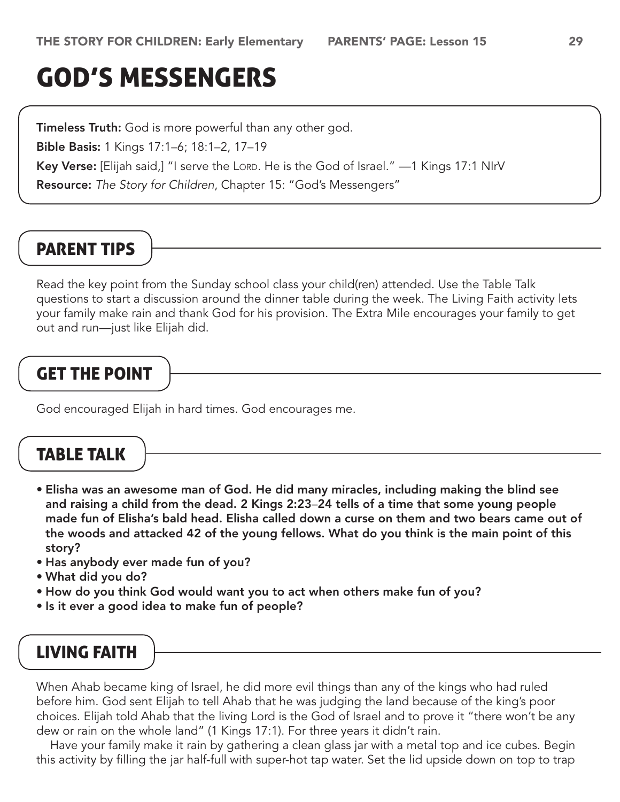# God's Messengers

**Timeless Truth:** God is more powerful than any other god.

Bible Basis: 1 Kings 17:1–6; 18:1–2, 17–19

Key Verse: [Elijah said,] "I serve the Lord. He is the God of Israel." —1 Kings 17:1 NIrV

Resource: *The Story for Children*, Chapter 15: "God's Messengers"

# Parent Tips

Read the key point from the Sunday school class your child(ren) attended. Use the Table Talk questions to start a discussion around the dinner table during the week. The Living Faith activity lets your family make rain and thank God for his provision. The Extra Mile encourages your family to get out and run—just like Elijah did.

#### Get the Point

God encouraged Elijah in hard times. God encourages me.

### Table Talk

- Elisha was an awesome man of God. He did many miracles, including making the blind see and raising a child from the dead. 2 Kings 2:23–24 tells of a time that some young people made fun of Elisha's bald head. Elisha called down a curse on them and two bears came out of the woods and attacked 42 of the young fellows. What do you think is the main point of this story?
- Has anybody ever made fun of you?
- What did you do?
- How do you think God would want you to act when others make fun of you?
- Is it ever a good idea to make fun of people?

#### Living Faith

When Ahab became king of Israel, he did more evil things than any of the kings who had ruled before him. God sent Elijah to tell Ahab that he was judging the land because of the king's poor choices. Elijah told Ahab that the living Lord is the God of Israel and to prove it "there won't be any dew or rain on the whole land" (1 Kings 17:1). For three years it didn't rain.

Have your family make it rain by gathering a clean glass jar with a metal top and ice cubes. Begin this activity by filling the jar half-full with super-hot tap water. Set the lid upside down on top to trap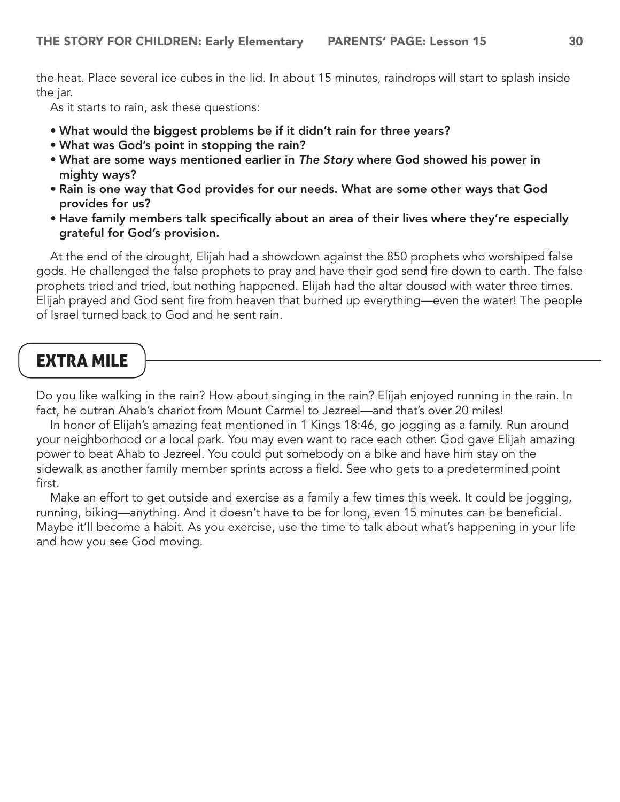the heat. Place several ice cubes in the lid. In about 15 minutes, raindrops will start to splash inside the jar.

As it starts to rain, ask these questions:

- What would the biggest problems be if it didn't rain for three years?
- What was God's point in stopping the rain?
- What are some ways mentioned earlier in *The Story* where God showed his power in mighty ways?
- Rain is one way that God provides for our needs. What are some other ways that God provides for us?
- Have family members talk specifically about an area of their lives where they're especially grateful for God's provision.

At the end of the drought, Elijah had a showdown against the 850 prophets who worshiped false gods. He challenged the false prophets to pray and have their god send fire down to earth. The false prophets tried and tried, but nothing happened. Elijah had the altar doused with water three times. Elijah prayed and God sent fire from heaven that burned up everything—even the water! The people of Israel turned back to God and he sent rain.

### Extra Mile

Do you like walking in the rain? How about singing in the rain? Elijah enjoyed running in the rain. In fact, he outran Ahab's chariot from Mount Carmel to Jezreel—and that's over 20 miles!

In honor of Elijah's amazing feat mentioned in 1 Kings 18:46, go jogging as a family. Run around your neighborhood or a local park. You may even want to race each other. God gave Elijah amazing power to beat Ahab to Jezreel. You could put somebody on a bike and have him stay on the sidewalk as another family member sprints across a field. See who gets to a predetermined point first.

Make an effort to get outside and exercise as a family a few times this week. It could be jogging, running, biking—anything. And it doesn't have to be for long, even 15 minutes can be beneficial. Maybe it'll become a habit. As you exercise, use the time to talk about what's happening in your life and how you see God moving.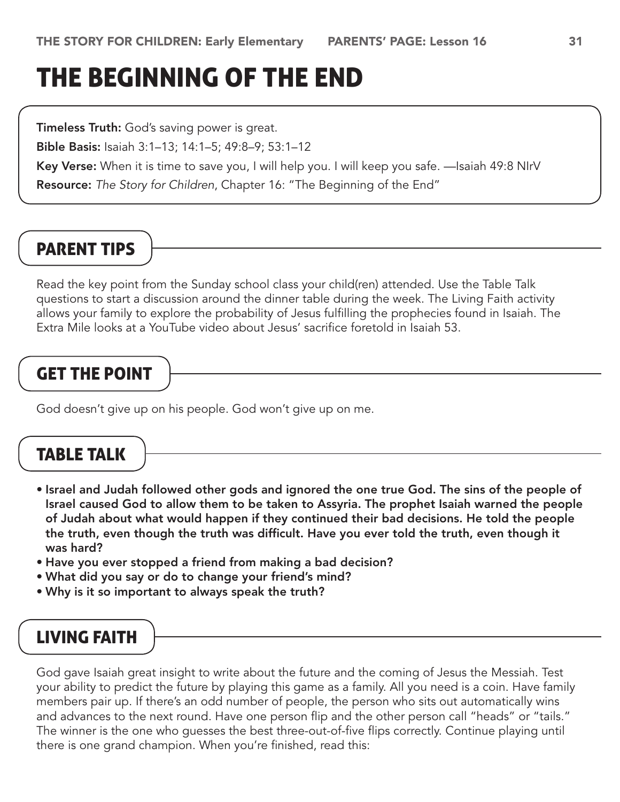# The Beginning of the End

**Timeless Truth:** God's saving power is great.

Bible Basis: Isaiah 3:1–13; 14:1–5; 49:8–9; 53:1–12

Key Verse: When it is time to save you, I will help you. I will keep you safe. —Isaiah 49:8 NIrV

Resource: *The Story for Children*, Chapter 16: "The Beginning of the End"

# Parent Tips

Read the key point from the Sunday school class your child(ren) attended. Use the Table Talk questions to start a discussion around the dinner table during the week. The Living Faith activity allows your family to explore the probability of Jesus fulfilling the prophecies found in Isaiah. The Extra Mile looks at a YouTube video about Jesus' sacrifice foretold in Isaiah 53.

# Get the Point

God doesn't give up on his people. God won't give up on me.

#### Table Talk

- Israel and Judah followed other gods and ignored the one true God. The sins of the people of Israel caused God to allow them to be taken to Assyria. The prophet Isaiah warned the people of Judah about what would happen if they continued their bad decisions. He told the people the truth, even though the truth was difficult. Have you ever told the truth, even though it was hard?
- Have you ever stopped a friend from making a bad decision?
- What did you say or do to change your friend's mind?
- Why is it so important to always speak the truth?

#### Living Faith

God gave Isaiah great insight to write about the future and the coming of Jesus the Messiah. Test your ability to predict the future by playing this game as a family. All you need is a coin. Have family members pair up. If there's an odd number of people, the person who sits out automatically wins and advances to the next round. Have one person flip and the other person call "heads" or "tails." The winner is the one who guesses the best three-out-of-five flips correctly. Continue playing until there is one grand champion. When you're finished, read this: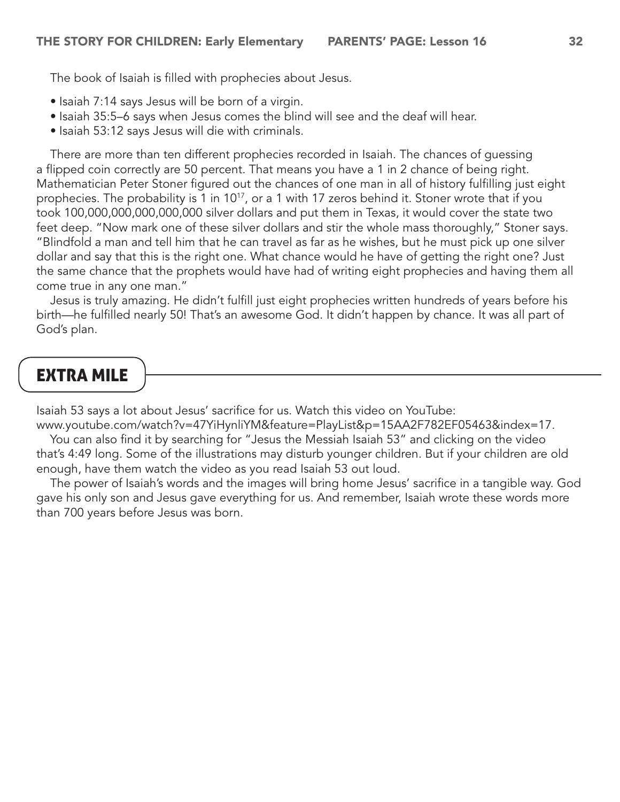The book of Isaiah is filled with prophecies about Jesus.

- Isaiah 7:14 says Jesus will be born of a virgin.
- Isaiah 35:5–6 says when Jesus comes the blind will see and the deaf will hear.
- Isaiah 53:12 says Jesus will die with criminals.

There are more than ten different prophecies recorded in Isaiah. The chances of guessing a flipped coin correctly are 50 percent. That means you have a 1 in 2 chance of being right. Mathematician Peter Stoner figured out the chances of one man in all of history fulfilling just eight prophecies. The probability is 1 in 10<sup>17</sup>, or a 1 with 17 zeros behind it. Stoner wrote that if you took 100,000,000,000,000,000 silver dollars and put them in Texas, it would cover the state two feet deep. "Now mark one of these silver dollars and stir the whole mass thoroughly," Stoner says. "Blindfold a man and tell him that he can travel as far as he wishes, but he must pick up one silver dollar and say that this is the right one. What chance would he have of getting the right one? Just the same chance that the prophets would have had of writing eight prophecies and having them all come true in any one man."

Jesus is truly amazing. He didn't fulfill just eight prophecies written hundreds of years before his birth—he fulfilled nearly 50! That's an awesome God. It didn't happen by chance. It was all part of God's plan.

#### Extra Mile

Isaiah 53 says a lot about Jesus' sacrifice for us. Watch this video on YouTube:

www.youtube.com/watch?v=47YiHynliYM&feature=PlayList&p=15AA2F782EF05463&index=17. You can also find it by searching for "Jesus the Messiah Isaiah 53" and clicking on the video that's 4:49 long. Some of the illustrations may disturb younger children. But if your children are old enough, have them watch the video as you read Isaiah 53 out loud.

The power of Isaiah's words and the images will bring home Jesus' sacrifice in a tangible way. God gave his only son and Jesus gave everything for us. And remember, Isaiah wrote these words more than 700 years before Jesus was born.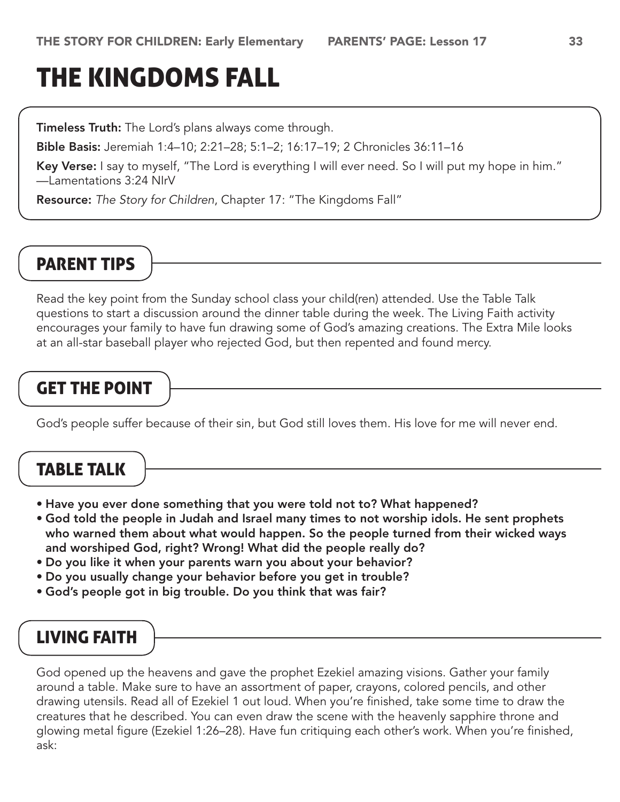# The Kingdoms Fall

**Timeless Truth:** The Lord's plans always come through.

Bible Basis: Jeremiah 1:4–10; 2:21–28; 5:1–2; 16:17–19; 2 Chronicles 36:11–16

Key Verse: I say to myself, "The Lord is everything I will ever need. So I will put my hope in him." —Lamentations 3:24 NIrV

Resource: *The Story for Children*, Chapter 17: "The Kingdoms Fall"

## Parent Tips

Read the key point from the Sunday school class your child(ren) attended. Use the Table Talk questions to start a discussion around the dinner table during the week. The Living Faith activity encourages your family to have fun drawing some of God's amazing creations. The Extra Mile looks at an all-star baseball player who rejected God, but then repented and found mercy.

# Get the Point

God's people suffer because of their sin, but God still loves them. His love for me will never end.

#### Table Talk

- Have you ever done something that you were told not to? What happened?
- God told the people in Judah and Israel many times to not worship idols. He sent prophets who warned them about what would happen. So the people turned from their wicked ways and worshiped God, right? Wrong! What did the people really do?
- Do you like it when your parents warn you about your behavior?
- Do you usually change your behavior before you get in trouble?
- God's people got in big trouble. Do you think that was fair?

#### Living Faith

God opened up the heavens and gave the prophet Ezekiel amazing visions. Gather your family around a table. Make sure to have an assortment of paper, crayons, colored pencils, and other drawing utensils. Read all of Ezekiel 1 out loud. When you're finished, take some time to draw the creatures that he described. You can even draw the scene with the heavenly sapphire throne and glowing metal figure (Ezekiel 1:26–28). Have fun critiquing each other's work. When you're finished, ask: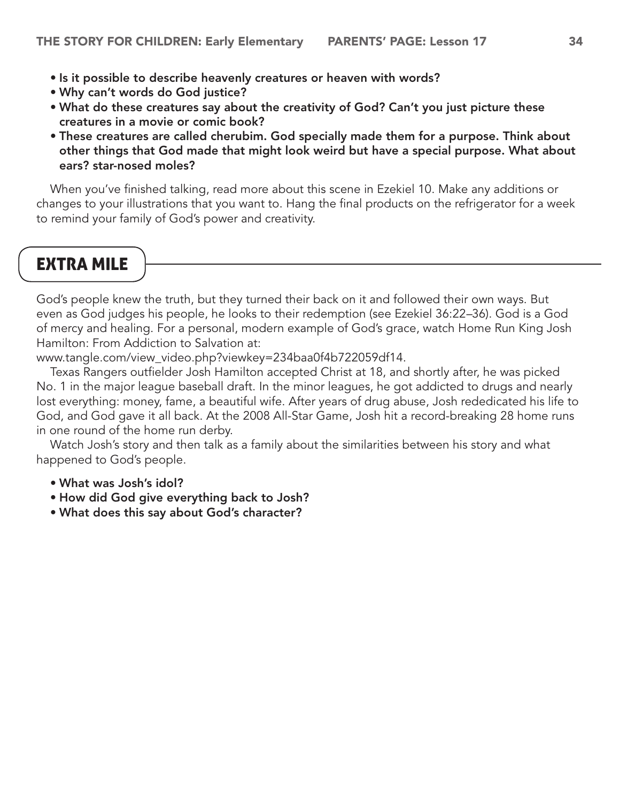- Is it possible to describe heavenly creatures or heaven with words?
- Why can't words do God justice?
- What do these creatures say about the creativity of God? Can't you just picture these creatures in a movie or comic book?
- These creatures are called cherubim. God specially made them for a purpose. Think about other things that God made that might look weird but have a special purpose. What about ears? star-nosed moles?

When you've finished talking, read more about this scene in Ezekiel 10. Make any additions or changes to your illustrations that you want to. Hang the final products on the refrigerator for a week to remind your family of God's power and creativity.

#### Extra Mile

God's people knew the truth, but they turned their back on it and followed their own ways. But even as God judges his people, he looks to their redemption (see Ezekiel 36:22*–*36). God is a God of mercy and healing. For a personal, modern example of God's grace, watch Home Run King Josh Hamilton: From Addiction to Salvation at:

www.tangle.com/view\_video.php?viewkey=234baa0f4b722059df14.

Texas Rangers outfielder Josh Hamilton accepted Christ at 18, and shortly after, he was picked No. 1 in the major league baseball draft. In the minor leagues, he got addicted to drugs and nearly lost everything: money, fame, a beautiful wife. After years of drug abuse, Josh rededicated his life to God, and God gave it all back. At the 2008 All-Star Game, Josh hit a record-breaking 28 home runs in one round of the home run derby.

Watch Josh's story and then talk as a family about the similarities between his story and what happened to God's people.

- What was Josh's idol?
- How did God give everything back to Josh?
- What does this say about God's character?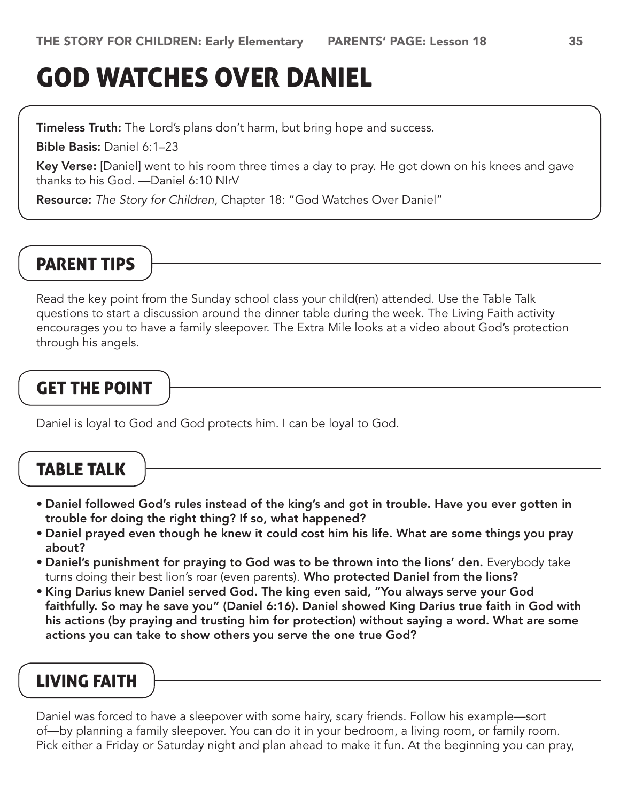# God Watches over Daniel

**Timeless Truth:** The Lord's plans don't harm, but bring hope and success.

Bible Basis: Daniel 6:1–23

Key Verse: [Daniel] went to his room three times a day to pray. He got down on his knees and gave thanks to his God. —Daniel 6:10 NIrV

Resource: *The Story for Children*, Chapter 18: "God Watches Over Daniel"

#### Parent Tips

Read the key point from the Sunday school class your child(ren) attended. Use the Table Talk questions to start a discussion around the dinner table during the week. The Living Faith activity encourages you to have a family sleepover. The Extra Mile looks at a video about God's protection through his angels.

### Get the Point

Daniel is loyal to God and God protects him. I can be loyal to God.

#### Table Talk

- Daniel followed God's rules instead of the king's and got in trouble. Have you ever gotten in trouble for doing the right thing? If so, what happened?
- Daniel prayed even though he knew it could cost him his life. What are some things you pray about?
- Daniel's punishment for praying to God was to be thrown into the lions' den. Everybody take turns doing their best lion's roar (even parents). Who protected Daniel from the lions?
- King Darius knew Daniel served God. The king even said, "You always serve your God faithfully. So may he save you" (Daniel 6:16). Daniel showed King Darius true faith in God with his actions (by praying and trusting him for protection) without saying a word. What are some actions you can take to show others you serve the one true God?

#### Living Faith

Daniel was forced to have a sleepover with some hairy, scary friends. Follow his example—sort of—by planning a family sleepover. You can do it in your bedroom, a living room, or family room. Pick either a Friday or Saturday night and plan ahead to make it fun. At the beginning you can pray,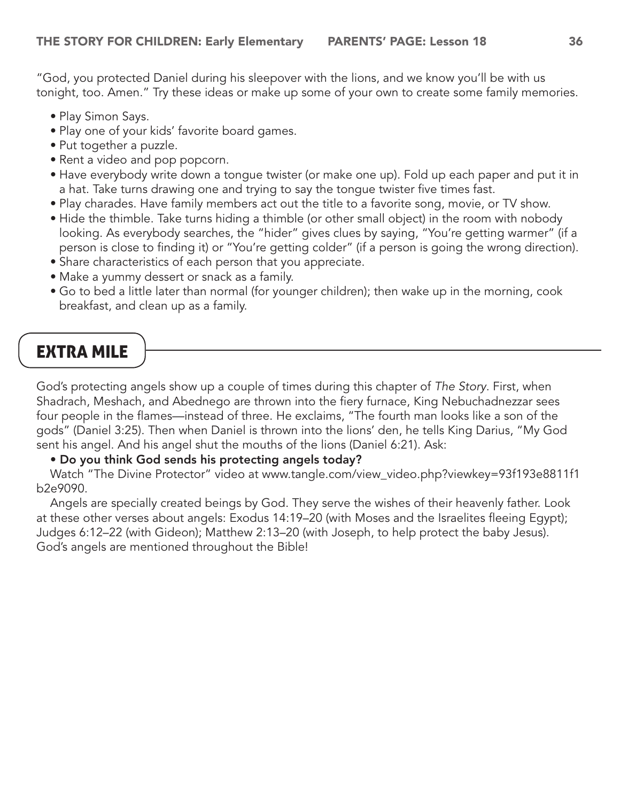"God, you protected Daniel during his sleepover with the lions, and we know you'll be with us tonight, too. Amen." Try these ideas or make up some of your own to create some family memories.

- Play Simon Says.
- Play one of your kids' favorite board games.
- Put together a puzzle.
- Rent a video and pop popcorn.
- Have everybody write down a tongue twister (or make one up). Fold up each paper and put it in a hat. Take turns drawing one and trying to say the tongue twister five times fast.
- Play charades. Have family members act out the title to a favorite song, movie, or TV show.
- Hide the thimble. Take turns hiding a thimble (or other small object) in the room with nobody looking. As everybody searches, the "hider" gives clues by saying, "You're getting warmer" (if a person is close to finding it) or "You're getting colder" (if a person is going the wrong direction).
- Share characteristics of each person that you appreciate.
- Make a yummy dessert or snack as a family.
- Go to bed a little later than normal (for younger children); then wake up in the morning, cook breakfast, and clean up as a family.

# Extra Mile

God's protecting angels show up a couple of times during this chapter of *The Story*. First, when Shadrach, Meshach, and Abednego are thrown into the fiery furnace, King Nebuchadnezzar sees four people in the flames—instead of three. He exclaims, "The fourth man looks like a son of the gods" (Daniel 3:25). Then when Daniel is thrown into the lions' den, he tells King Darius, "My God sent his angel. And his angel shut the mouths of the lions (Daniel 6:21). Ask:

#### • Do you think God sends his protecting angels today?

Watch "The Divine Protector" video at www.tangle.com/view\_video.php?viewkey=93f193e8811f1 b2e9090.

Angels are specially created beings by God. They serve the wishes of their heavenly father. Look at these other verses about angels: Exodus 14:19–20 (with Moses and the Israelites fleeing Egypt); Judges 6:12–22 (with Gideon); Matthew 2:13–20 (with Joseph, to help protect the baby Jesus). God's angels are mentioned throughout the Bible!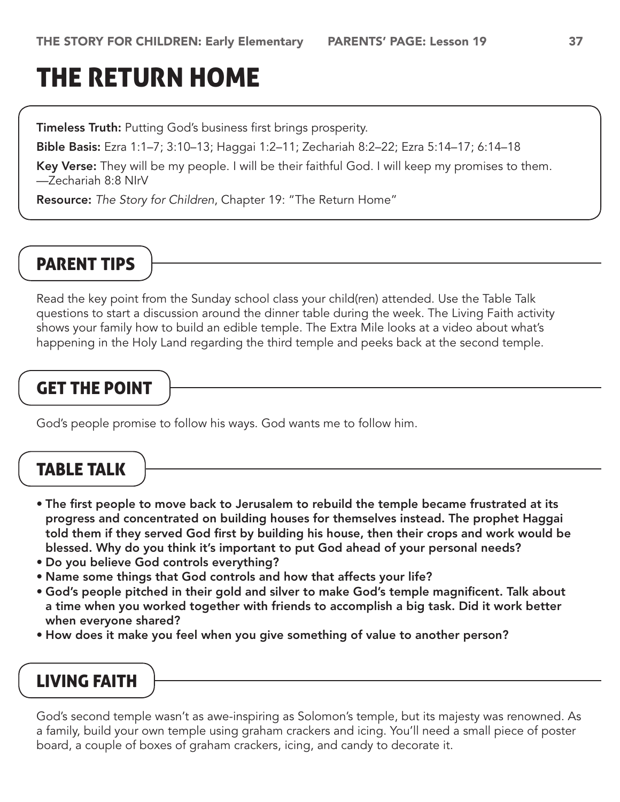# The Return Home

**Timeless Truth:** Putting God's business first brings prosperity.

Bible Basis: Ezra 1:1–7; 3:10–13; Haggai 1:2–11; Zechariah 8:2–22; Ezra 5:14–17; 6:14–18

Key Verse: They will be my people. I will be their faithful God. I will keep my promises to them. —Zechariah 8:8 NIrV

Resource: *The Story for Children*, Chapter 19: "The Return Home"

## Parent Tips

Read the key point from the Sunday school class your child(ren) attended. Use the Table Talk questions to start a discussion around the dinner table during the week. The Living Faith activity shows your family how to build an edible temple. The Extra Mile looks at a video about what's happening in the Holy Land regarding the third temple and peeks back at the second temple.

# Get the Point

God's people promise to follow his ways. God wants me to follow him.

#### Table Talk

- The first people to move back to Jerusalem to rebuild the temple became frustrated at its progress and concentrated on building houses for themselves instead. The prophet Haggai told them if they served God first by building his house, then their crops and work would be blessed. Why do you think it's important to put God ahead of your personal needs?
- Do you believe God controls everything?
- Name some things that God controls and how that affects your life?
- God's people pitched in their gold and silver to make God's temple magnificent. Talk about a time when you worked together with friends to accomplish a big task. Did it work better when everyone shared?
- How does it make you feel when you give something of value to another person?

## Living Faith

God's second temple wasn't as awe-inspiring as Solomon's temple, but its majesty was renowned. As a family, build your own temple using graham crackers and icing. You'll need a small piece of poster board, a couple of boxes of graham crackers, icing, and candy to decorate it.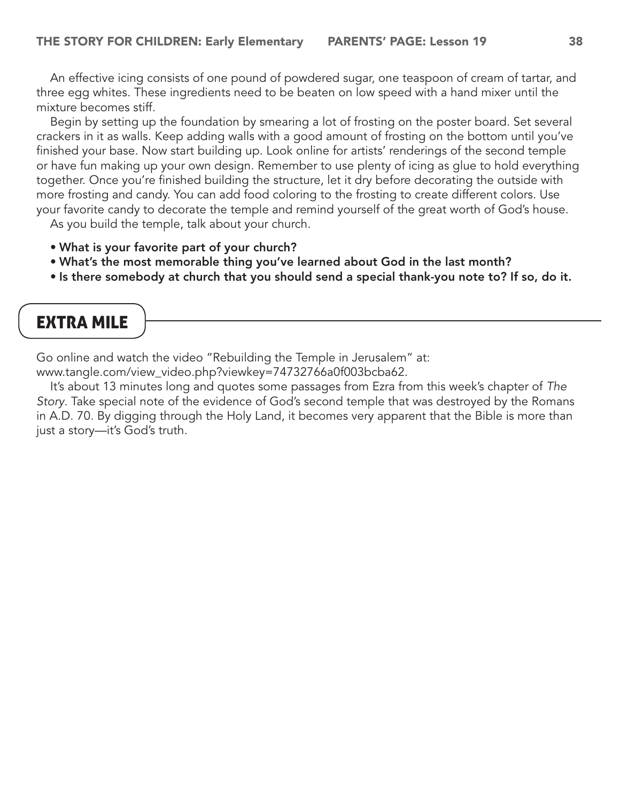An effective icing consists of one pound of powdered sugar, one teaspoon of cream of tartar, and three egg whites. These ingredients need to be beaten on low speed with a hand mixer until the mixture becomes stiff.

Begin by setting up the foundation by smearing a lot of frosting on the poster board. Set several crackers in it as walls. Keep adding walls with a good amount of frosting on the bottom until you've finished your base. Now start building up. Look online for artists' renderings of the second temple or have fun making up your own design. Remember to use plenty of icing as glue to hold everything together. Once you're finished building the structure, let it dry before decorating the outside with more frosting and candy. You can add food coloring to the frosting to create different colors. Use your favorite candy to decorate the temple and remind yourself of the great worth of God's house.

As you build the temple, talk about your church.

- What is your favorite part of your church?
- What's the most memorable thing you've learned about God in the last month?
- Is there somebody at church that you should send a special thank-you note to? If so, do it.

## Extra Mile

Go online and watch the video "Rebuilding the Temple in Jerusalem" at:

www.tangle.com/view\_video.php?viewkey=74732766a0f003bcba62.

It's about 13 minutes long and quotes some passages from Ezra from this week's chapter of *The Story*. Take special note of the evidence of God's second temple that was destroyed by the Romans in A.D. 70. By digging through the Holy Land, it becomes very apparent that the Bible is more than just a story—it's God's truth.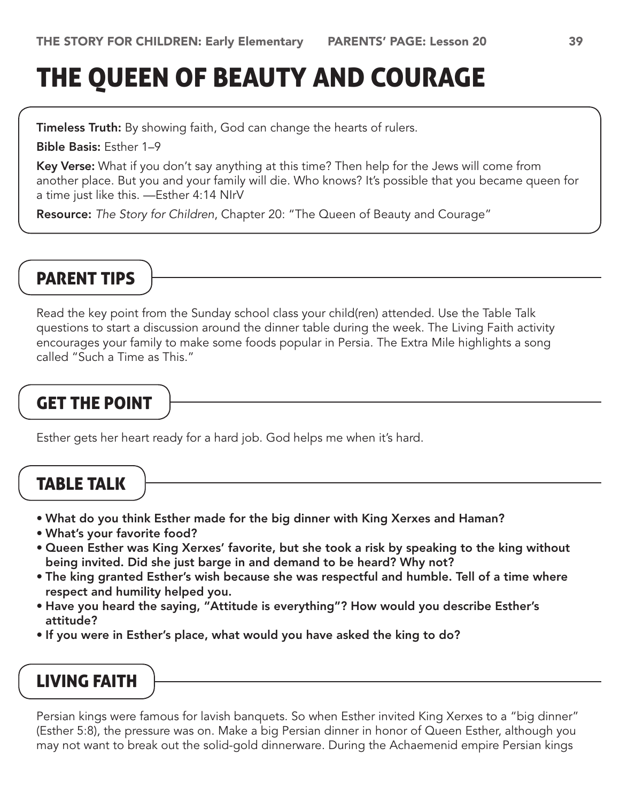# The Queen of Beauty and Courage

**Timeless Truth:** By showing faith, God can change the hearts of rulers.

Bible Basis: Esther 1–9

Key Verse: What if you don't say anything at this time? Then help for the Jews will come from another place. But you and your family will die. Who knows? It's possible that you became queen for a time just like this. —Esther 4:14 NIrV

Resource: *The Story for Children*, Chapter 20: "The Queen of Beauty and Courage"

# Parent Tips

Read the key point from the Sunday school class your child(ren) attended. Use the Table Talk questions to start a discussion around the dinner table during the week. The Living Faith activity encourages your family to make some foods popular in Persia. The Extra Mile highlights a song called "Such a Time as This."

# Get the Point

Esther gets her heart ready for a hard job. God helps me when it's hard.

#### Table Talk

- What do you think Esther made for the big dinner with King Xerxes and Haman?
- What's your favorite food?
- Queen Esther was King Xerxes' favorite, but she took a risk by speaking to the king without being invited. Did she just barge in and demand to be heard? Why not?
- The king granted Esther's wish because she was respectful and humble. Tell of a time where respect and humility helped you.
- Have you heard the saying, "Attitude is everything"? How would you describe Esther's attitude?
- If you were in Esther's place, what would you have asked the king to do?

# Living Faith

Persian kings were famous for lavish banquets. So when Esther invited King Xerxes to a "big dinner" (Esther 5:8), the pressure was on. Make a big Persian dinner in honor of Queen Esther, although you may not want to break out the solid-gold dinnerware. During the Achaemenid empire Persian kings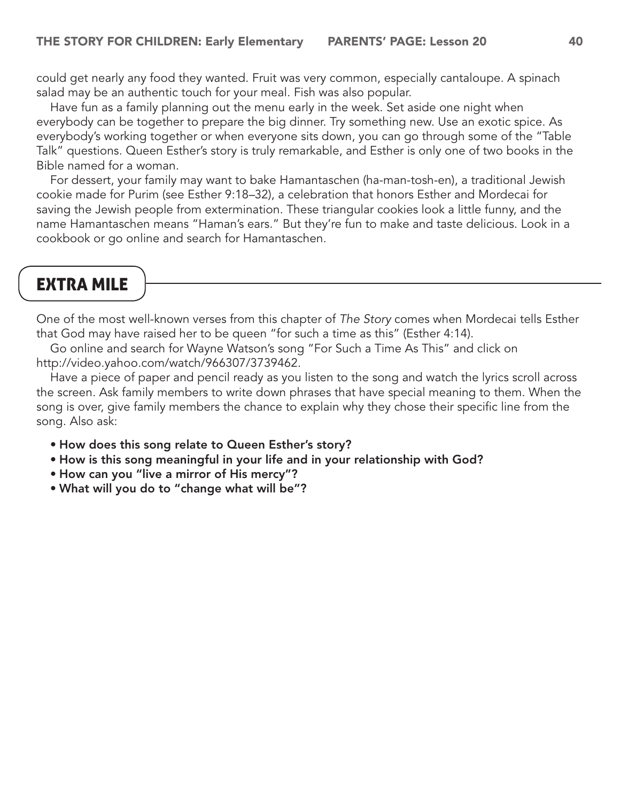could get nearly any food they wanted. Fruit was very common, especially cantaloupe. A spinach salad may be an authentic touch for your meal. Fish was also popular.

Have fun as a family planning out the menu early in the week. Set aside one night when everybody can be together to prepare the big dinner. Try something new. Use an exotic spice. As everybody's working together or when everyone sits down, you can go through some of the "Table Talk" questions. Queen Esther's story is truly remarkable, and Esther is only one of two books in the Bible named for a woman.

For dessert, your family may want to bake Hamantaschen (ha-man-tosh-en), a traditional Jewish cookie made for Purim (see Esther 9:18*–*32), a celebration that honors Esther and Mordecai for saving the Jewish people from extermination. These triangular cookies look a little funny, and the name Hamantaschen means "Haman's ears." But they're fun to make and taste delicious. Look in a cookbook or go online and search for Hamantaschen.

# Extra Mile

One of the most well-known verses from this chapter of *The Story* comes when Mordecai tells Esther that God may have raised her to be queen "for such a time as this" (Esther 4:14).

Go online and search for Wayne Watson's song "For Such a Time As This" and click on http://video.yahoo.com/watch/966307/3739462.

Have a piece of paper and pencil ready as you listen to the song and watch the lyrics scroll across the screen. Ask family members to write down phrases that have special meaning to them. When the song is over, give family members the chance to explain why they chose their specific line from the song. Also ask:

- How does this song relate to Queen Esther's story?
- How is this song meaningful in your life and in your relationship with God?
- How can you "live a mirror of His mercy"?
- What will you do to "change what will be"?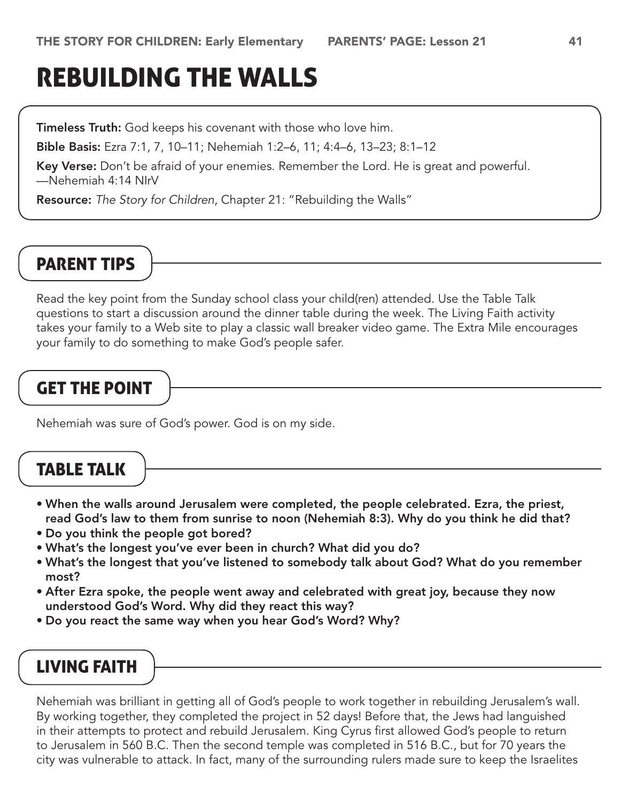# Rebuilding the Walls

**Timeless Truth:** God keeps his covenant with those who love him.

Bible Basis: Ezra 7:1, 7, 10–11; Nehemiah 1:2–6, 11; 4:4–6, 13–23; 8:1–12

Key Verse: Don't be afraid of your enemies. Remember the Lord. He is great and powerful. —Nehemiah 4:14 NIrV

Resource: *The Story for Children*, Chapter 21: "Rebuilding the Walls"

#### Parent Tips

Read the key point from the Sunday school class your child(ren) attended. Use the Table Talk questions to start a discussion around the dinner table during the week. The Living Faith activity takes your family to a Web site to play a classic wall breaker video game. The Extra Mile encourages your family to do something to make God's people safer.

#### Get the Point

Nehemiah was sure of God's power. God is on my side.

#### Table Talk

- When the walls around Jerusalem were completed, the people celebrated. Ezra, the priest, read God's law to them from sunrise to noon (Nehemiah 8:3). Why do you think he did that?
- Do you think the people got bored?
- What's the longest you've ever been in church? What did you do?
- What's the longest that you've listened to somebody talk about God? What do you remember most?
- After Ezra spoke, the people went away and celebrated with great joy, because they now understood God's Word. Why did they react this way?
- Do you react the same way when you hear God's Word? Why?

#### Living Faith

Nehemiah was brilliant in getting all of God's people to work together in rebuilding Jerusalem's wall. By working together, they completed the project in 52 days! Before that, the Jews had languished in their attempts to protect and rebuild Jerusalem. King Cyrus first allowed God's people to return to Jerusalem in 560 B.C. Then the second temple was completed in 516 B.C., but for 70 years the city was vulnerable to attack. In fact, many of the surrounding rulers made sure to keep the Israelites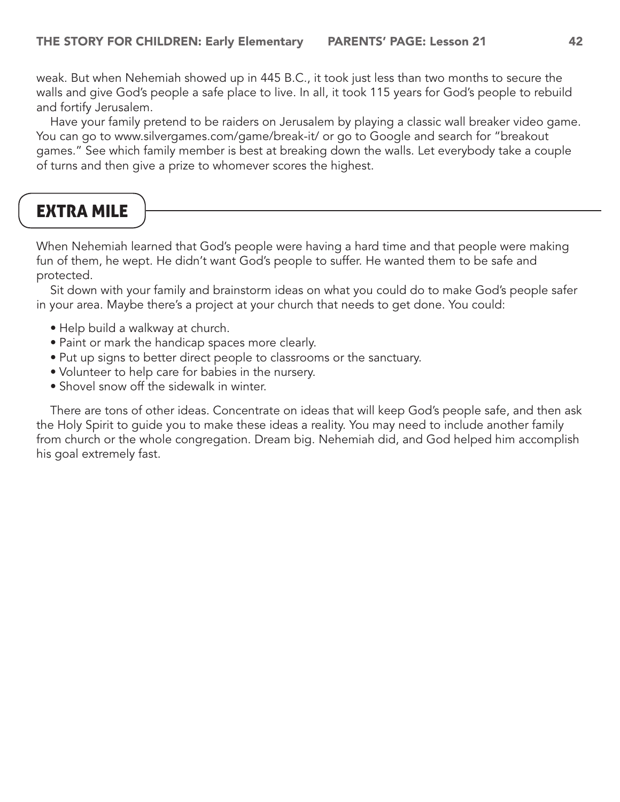weak. But when Nehemiah showed up in 445 B.C., it took just less than two months to secure the walls and give God's people a safe place to live. In all, it took 115 years for God's people to rebuild and fortify Jerusalem.

Have your family pretend to be raiders on Jerusalem by playing a classic wall breaker video game. You can go to www.silvergames.com/game/break-it/ or go to Google and search for "breakout games." See which family member is best at breaking down the walls. Let everybody take a couple of turns and then give a prize to whomever scores the highest.

# Extra Mile

When Nehemiah learned that God's people were having a hard time and that people were making fun of them, he wept. He didn't want God's people to suffer. He wanted them to be safe and protected.

Sit down with your family and brainstorm ideas on what you could do to make God's people safer in your area. Maybe there's a project at your church that needs to get done. You could:

- Help build a walkway at church.
- Paint or mark the handicap spaces more clearly.
- Put up signs to better direct people to classrooms or the sanctuary.
- Volunteer to help care for babies in the nursery.
- Shovel snow off the sidewalk in winter.

There are tons of other ideas. Concentrate on ideas that will keep God's people safe, and then ask the Holy Spirit to guide you to make these ideas a reality. You may need to include another family from church or the whole congregation. Dream big. Nehemiah did, and God helped him accomplish his goal extremely fast.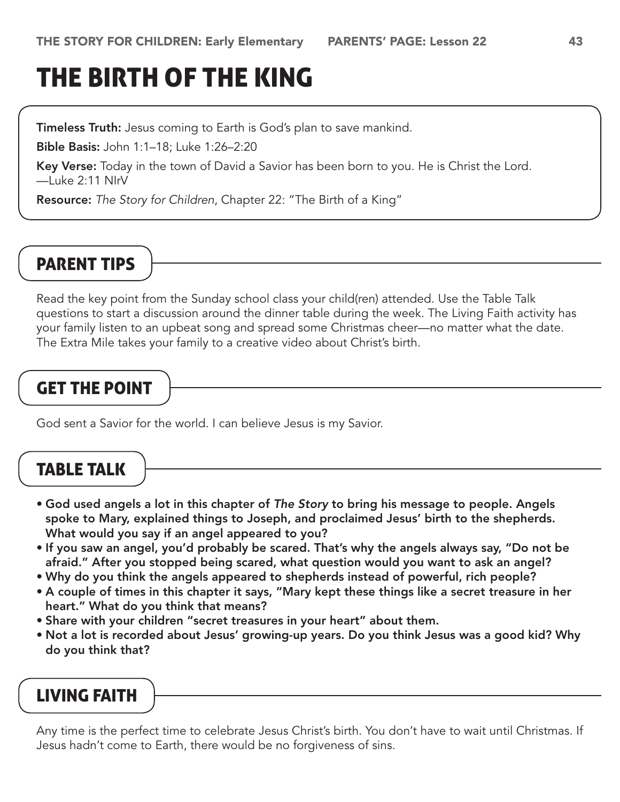# The Birth of the King

**Timeless Truth:** Jesus coming to Earth is God's plan to save mankind.

Bible Basis: John 1:1–18; Luke 1:26–2:20

Key Verse: Today in the town of David a Savior has been born to you. He is Christ the Lord. —Luke 2:11 NIrV

Resource: *The Story for Children*, Chapter 22: "The Birth of a King"

# Parent Tips

Read the key point from the Sunday school class your child(ren) attended. Use the Table Talk questions to start a discussion around the dinner table during the week. The Living Faith activity has your family listen to an upbeat song and spread some Christmas cheer—no matter what the date. The Extra Mile takes your family to a creative video about Christ's birth.

# Get the Point

God sent a Savior for the world. I can believe Jesus is my Savior.

# Table Talk

- God used angels a lot in this chapter of *The Story* to bring his message to people. Angels spoke to Mary, explained things to Joseph, and proclaimed Jesus' birth to the shepherds. What would you say if an angel appeared to you?
- If you saw an angel, you'd probably be scared. That's why the angels always say, "Do not be afraid." After you stopped being scared, what question would you want to ask an angel?
- Why do you think the angels appeared to shepherds instead of powerful, rich people?
- A couple of times in this chapter it says, "Mary kept these things like a secret treasure in her heart." What do you think that means?
- Share with your children "secret treasures in your heart" about them.
- Not a lot is recorded about Jesus' growing-up years. Do you think Jesus was a good kid? Why do you think that?

# Living Faith

Any time is the perfect time to celebrate Jesus Christ's birth. You don't have to wait until Christmas. If Jesus hadn't come to Earth, there would be no forgiveness of sins.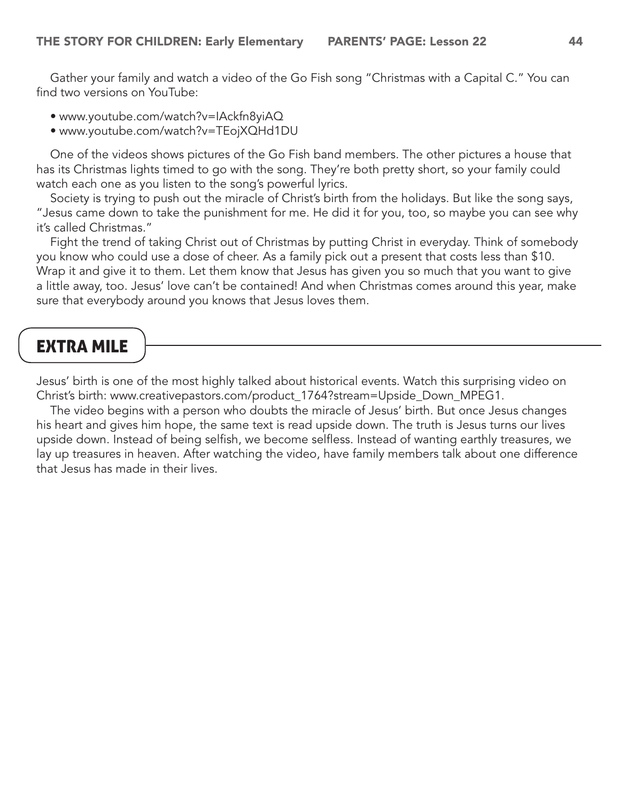Gather your family and watch a video of the Go Fish song "Christmas with a Capital C." You can find two versions on YouTube:

- www.youtube.com/watch?v=IAckfn8yiAQ
- www.youtube.com/watch?v=TEojXQHd1DU

One of the videos shows pictures of the Go Fish band members. The other pictures a house that has its Christmas lights timed to go with the song. They're both pretty short, so your family could watch each one as you listen to the song's powerful lyrics.

Society is trying to push out the miracle of Christ's birth from the holidays. But like the song says, "Jesus came down to take the punishment for me. He did it for you, too, so maybe you can see why it's called Christmas."

Fight the trend of taking Christ out of Christmas by putting Christ in everyday. Think of somebody you know who could use a dose of cheer. As a family pick out a present that costs less than \$10. Wrap it and give it to them. Let them know that Jesus has given you so much that you want to give a little away, too. Jesus' love can't be contained! And when Christmas comes around this year, make sure that everybody around you knows that Jesus loves them.

#### Extra Mile

Jesus' birth is one of the most highly talked about historical events. Watch this surprising video on Christ's birth: www.creativepastors.com/product\_1764?stream=Upside\_Down\_MPEG1.

The video begins with a person who doubts the miracle of Jesus' birth. But once Jesus changes his heart and gives him hope, the same text is read upside down. The truth is Jesus turns our lives upside down. Instead of being selfish, we become selfless. Instead of wanting earthly treasures, we lay up treasures in heaven. After watching the video, have family members talk about one difference that Jesus has made in their lives.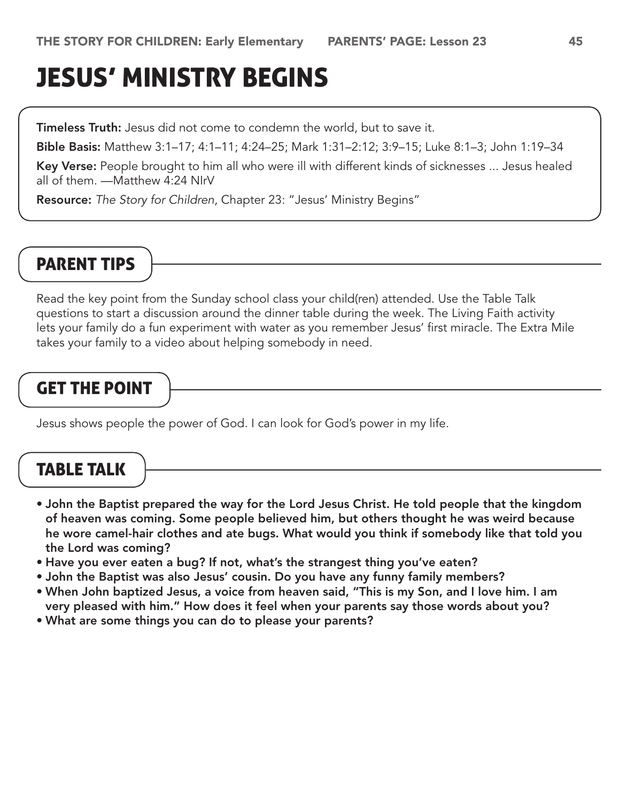# Jesus' Ministry Begins

Timeless Truth: Jesus did not come to condemn the world, but to save it.

Bible Basis: Matthew 3:1–17; 4:1–11; 4:24–25; Mark 1:31–2:12; 3:9–15; Luke 8:1–3; John 1:19–34

Key Verse: People brought to him all who were ill with different kinds of sicknesses ... Jesus healed all of them. —Matthew 4:24 NIrV

Resource: *The Story for Children*, Chapter 23: "Jesus' Ministry Begins"

#### Parent Tips

Read the key point from the Sunday school class your child(ren) attended. Use the Table Talk questions to start a discussion around the dinner table during the week. The Living Faith activity lets your family do a fun experiment with water as you remember Jesus' first miracle. The Extra Mile takes your family to a video about helping somebody in need.

#### Get the Point

Jesus shows people the power of God. I can look for God's power in my life.

### Table Talk

- John the Baptist prepared the way for the Lord Jesus Christ. He told people that the kingdom of heaven was coming. Some people believed him, but others thought he was weird because he wore camel-hair clothes and ate bugs. What would you think if somebody like that told you the Lord was coming?
- Have you ever eaten a bug? If not, what's the strangest thing you've eaten?
- John the Baptist was also Jesus' cousin. Do you have any funny family members?
- When John baptized Jesus, a voice from heaven said, "This is my Son, and I love him. I am very pleased with him." How does it feel when your parents say those words about you?
- What are some things you can do to please your parents?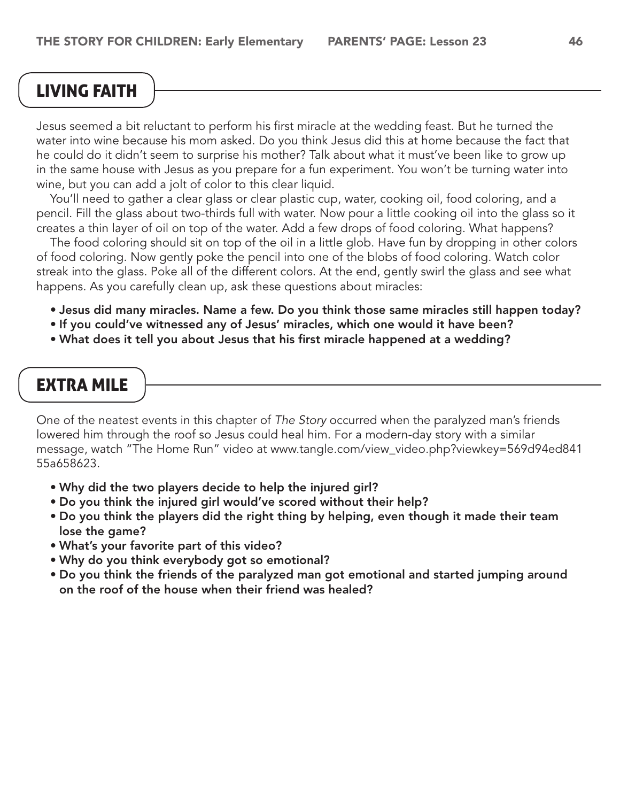## Living Faith

Jesus seemed a bit reluctant to perform his first miracle at the wedding feast. But he turned the water into wine because his mom asked. Do you think Jesus did this at home because the fact that he could do it didn't seem to surprise his mother? Talk about what it must've been like to grow up in the same house with Jesus as you prepare for a fun experiment. You won't be turning water into wine, but you can add a jolt of color to this clear liquid.

You'll need to gather a clear glass or clear plastic cup, water, cooking oil, food coloring, and a pencil. Fill the glass about two-thirds full with water. Now pour a little cooking oil into the glass so it creates a thin layer of oil on top of the water. Add a few drops of food coloring. What happens?

The food coloring should sit on top of the oil in a little glob. Have fun by dropping in other colors of food coloring. Now gently poke the pencil into one of the blobs of food coloring. Watch color streak into the glass. Poke all of the different colors. At the end, gently swirl the glass and see what happens. As you carefully clean up, ask these questions about miracles:

- Jesus did many miracles. Name a few. Do you think those same miracles still happen today?
- If you could've witnessed any of Jesus' miracles, which one would it have been?
- What does it tell you about Jesus that his first miracle happened at a wedding?

#### Extra Mile

One of the neatest events in this chapter of *The Story* occurred when the paralyzed man's friends lowered him through the roof so Jesus could heal him. For a modern-day story with a similar message, watch "The Home Run" video at www.tangle.com/view\_video.php?viewkey=569d94ed841 55a658623.

- Why did the two players decide to help the injured girl?
- Do you think the injured girl would've scored without their help?
- Do you think the players did the right thing by helping, even though it made their team lose the game?
- What's your favorite part of this video?
- Why do you think everybody got so emotional?
- Do you think the friends of the paralyzed man got emotional and started jumping around on the roof of the house when their friend was healed?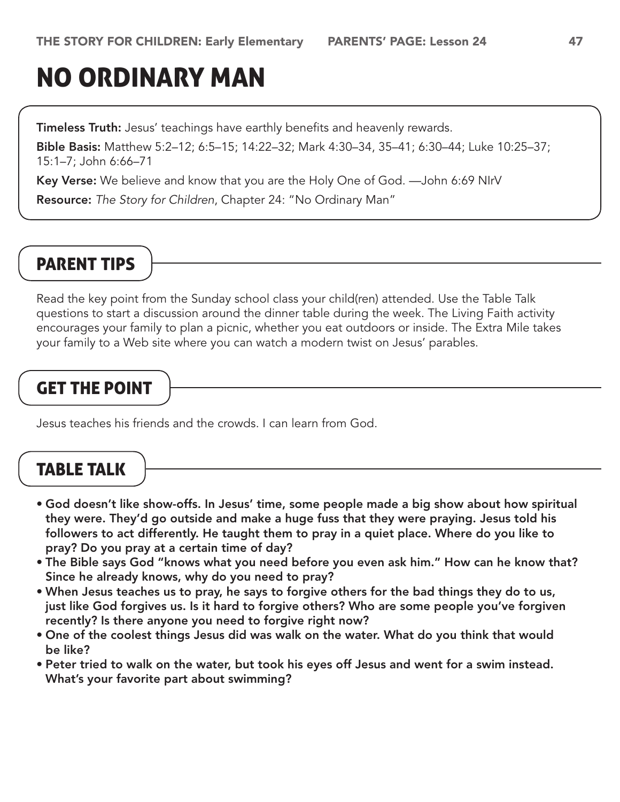# No Ordinary Man

**Timeless Truth:** Jesus' teachings have earthly benefits and heavenly rewards.

Bible Basis: Matthew 5:2–12; 6:5–15; 14:22–32; Mark 4:30–34, 35–41; 6:30–44; Luke 10:25–37; 15:1–7; John 6:66–71

Key Verse: We believe and know that you are the Holy One of God. —John 6:69 NIrV

Resource: *The Story for Children*, Chapter 24: "No Ordinary Man"

# Parent Tips

Read the key point from the Sunday school class your child(ren) attended. Use the Table Talk questions to start a discussion around the dinner table during the week. The Living Faith activity encourages your family to plan a picnic, whether you eat outdoors or inside. The Extra Mile takes your family to a Web site where you can watch a modern twist on Jesus' parables.

# Get the Point

Jesus teaches his friends and the crowds. I can learn from God.

# Table Talk

- God doesn't like show-offs. In Jesus' time, some people made a big show about how spiritual they were. They'd go outside and make a huge fuss that they were praying. Jesus told his followers to act differently. He taught them to pray in a quiet place. Where do you like to pray? Do you pray at a certain time of day?
- The Bible says God "knows what you need before you even ask him." How can he know that? Since he already knows, why do you need to pray?
- When Jesus teaches us to pray, he says to forgive others for the bad things they do to us, just like God forgives us. Is it hard to forgive others? Who are some people you've forgiven recently? Is there anyone you need to forgive right now?
- One of the coolest things Jesus did was walk on the water. What do you think that would be like?
- Peter tried to walk on the water, but took his eyes off Jesus and went for a swim instead. What's your favorite part about swimming?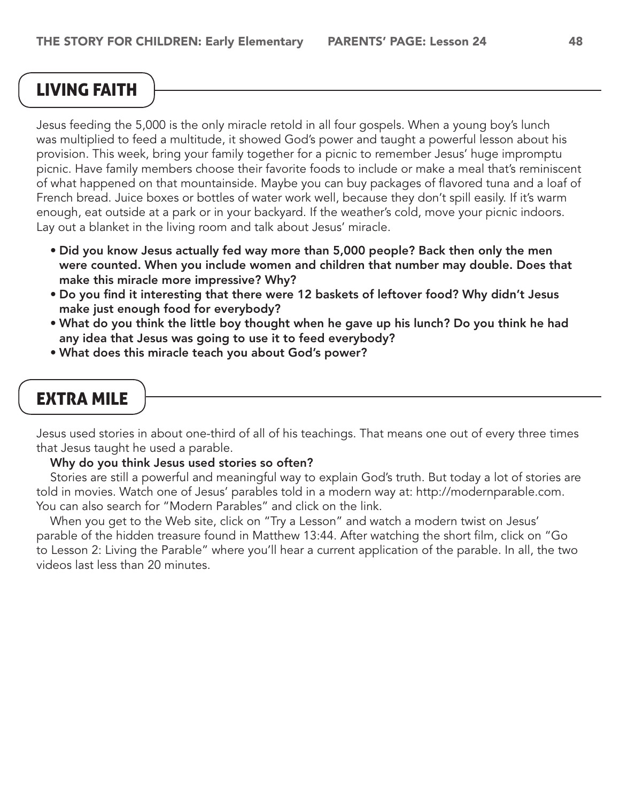# Living Faith

Jesus feeding the 5,000 is the only miracle retold in all four gospels. When a young boy's lunch was multiplied to feed a multitude, it showed God's power and taught a powerful lesson about his provision. This week, bring your family together for a picnic to remember Jesus' huge impromptu picnic. Have family members choose their favorite foods to include or make a meal that's reminiscent of what happened on that mountainside. Maybe you can buy packages of flavored tuna and a loaf of French bread. Juice boxes or bottles of water work well, because they don't spill easily. If it's warm enough, eat outside at a park or in your backyard. If the weather's cold, move your picnic indoors. Lay out a blanket in the living room and talk about Jesus' miracle.

- Did you know Jesus actually fed way more than 5,000 people? Back then only the men were counted. When you include women and children that number may double. Does that make this miracle more impressive? Why?
- Do you find it interesting that there were 12 baskets of leftover food? Why didn't Jesus make just enough food for everybody?
- What do you think the little boy thought when he gave up his lunch? Do you think he had any idea that Jesus was going to use it to feed everybody?
- What does this miracle teach you about God's power?

### Extra Mile

Jesus used stories in about one-third of all of his teachings. That means one out of every three times that Jesus taught he used a parable.

#### Why do you think Jesus used stories so often?

Stories are still a powerful and meaningful way to explain God's truth. But today a lot of stories are told in movies. Watch one of Jesus' parables told in a modern way at: http://modernparable.com. You can also search for "Modern Parables" and click on the link.

When you get to the Web site, click on "Try a Lesson" and watch a modern twist on Jesus' parable of the hidden treasure found in Matthew 13:44. After watching the short film, click on "Go to Lesson 2: Living the Parable" where you'll hear a current application of the parable. In all, the two videos last less than 20 minutes.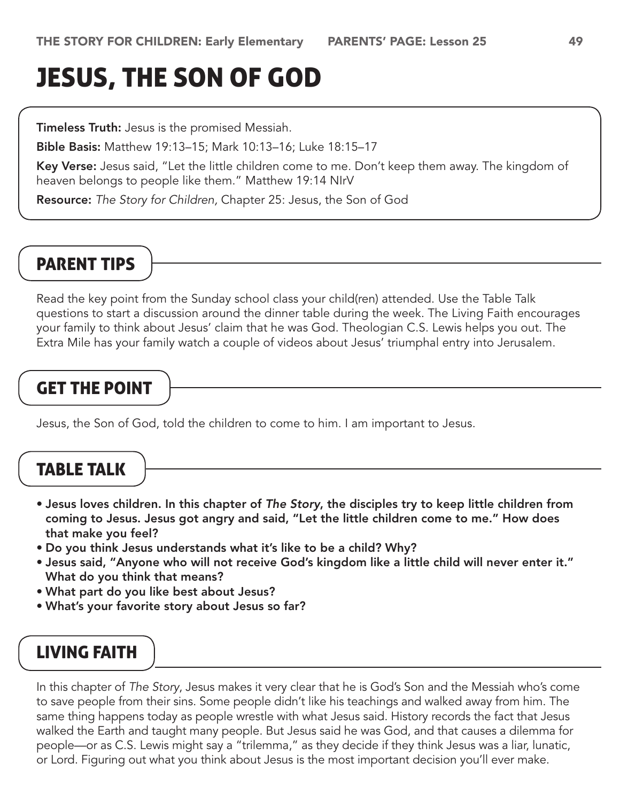# Jesus, the Son Of God

**Timeless Truth:** Jesus is the promised Messiah.

Bible Basis: Matthew 19:13–15; Mark 10:13–16; Luke 18:15–17

Key Verse: Jesus said, "Let the little children come to me. Don't keep them away. The kingdom of heaven belongs to people like them." Matthew 19:14 NIrV

Resource: *The Story for Children,* Chapter 25: Jesus, the Son of God

#### Parent Tips

Read the key point from the Sunday school class your child(ren) attended. Use the Table Talk questions to start a discussion around the dinner table during the week. The Living Faith encourages your family to think about Jesus' claim that he was God. Theologian C.S. Lewis helps you out. The Extra Mile has your family watch a couple of videos about Jesus' triumphal entry into Jerusalem.

#### Get the Point

Jesus, the Son of God, told the children to come to him. I am important to Jesus.

#### Table Talk

- Jesus loves children. In this chapter of *The Story*, the disciples try to keep little children from coming to Jesus. Jesus got angry and said, "Let the little children come to me." How does that make you feel?
- Do you think Jesus understands what it's like to be a child? Why?
- Jesus said, "Anyone who will not receive God's kingdom like a little child will never enter it." What do you think that means?
- What part do you like best about Jesus?
- What's your favorite story about Jesus so far?

#### Living Faith

In this chapter of *The Story*, Jesus makes it very clear that he is God's Son and the Messiah who's come to save people from their sins. Some people didn't like his teachings and walked away from him. The same thing happens today as people wrestle with what Jesus said. History records the fact that Jesus walked the Earth and taught many people. But Jesus said he was God, and that causes a dilemma for people—or as C.S. Lewis might say a "trilemma," as they decide if they think Jesus was a liar, lunatic, or Lord. Figuring out what you think about Jesus is the most important decision you'll ever make.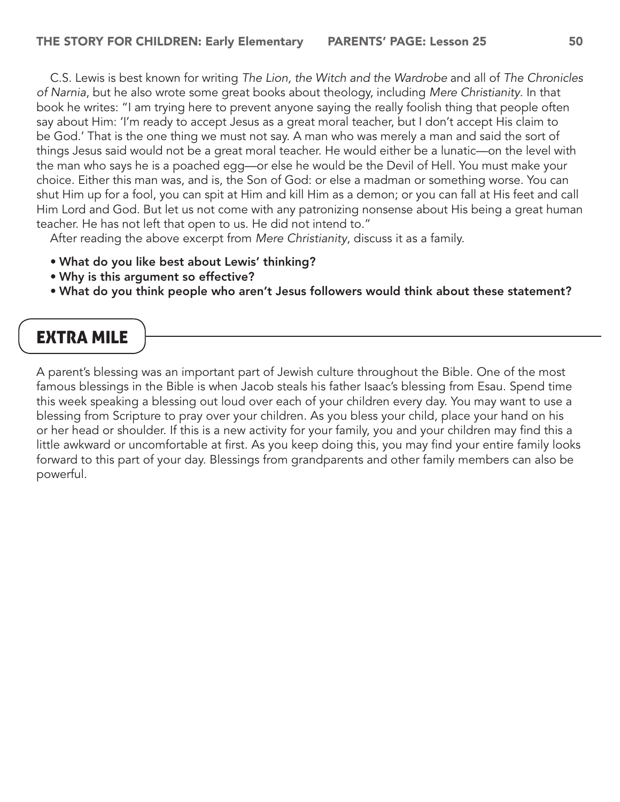C.S. Lewis is best known for writing *The Lion, the Witch and the Wardrobe* and all of *The Chronicles of Narnia*, but he also wrote some great books about theology, including *Mere Christianity*. In that book he writes: "I am trying here to prevent anyone saying the really foolish thing that people often say about Him: 'I'm ready to accept Jesus as a great moral teacher, but I don't accept His claim to be God.' That is the one thing we must not say. A man who was merely a man and said the sort of things Jesus said would not be a great moral teacher. He would either be a lunatic—on the level with the man who says he is a poached egg—or else he would be the Devil of Hell. You must make your choice. Either this man was, and is, the Son of God: or else a madman or something worse. You can shut Him up for a fool, you can spit at Him and kill Him as a demon; or you can fall at His feet and call Him Lord and God. But let us not come with any patronizing nonsense about His being a great human teacher. He has not left that open to us. He did not intend to."

After reading the above excerpt from *Mere Christianity*, discuss it as a family.

- What do you like best about Lewis' thinking?
- Why is this argument so effective?
- What do you think people who aren't Jesus followers would think about these statement?

# Extra Mile

A parent's blessing was an important part of Jewish culture throughout the Bible. One of the most famous blessings in the Bible is when Jacob steals his father Isaac's blessing from Esau. Spend time this week speaking a blessing out loud over each of your children every day. You may want to use a blessing from Scripture to pray over your children. As you bless your child, place your hand on his or her head or shoulder. If this is a new activity for your family, you and your children may find this a little awkward or uncomfortable at first. As you keep doing this, you may find your entire family looks forward to this part of your day. Blessings from grandparents and other family members can also be powerful.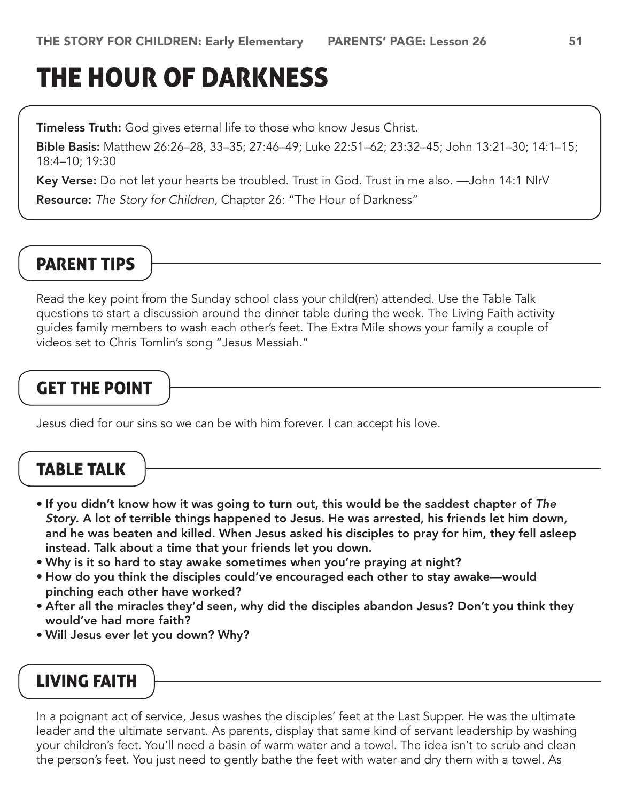# The Hour Of Darkness

**Timeless Truth:** God gives eternal life to those who know Jesus Christ.

Bible Basis: Matthew 26:26–28, 33–35; 27:46–49; Luke 22:51–62; 23:32–45; John 13:21–30; 14:1–15; 18:4–10; 19:30

Key Verse: Do not let your hearts be troubled. Trust in God. Trust in me also. - John 14:1 NIrV

Resource: *The Story for Children*, Chapter 26: "The Hour of Darkness"

## Parent Tips

Read the key point from the Sunday school class your child(ren) attended. Use the Table Talk questions to start a discussion around the dinner table during the week. The Living Faith activity guides family members to wash each other's feet. The Extra Mile shows your family a couple of videos set to Chris Tomlin's song "Jesus Messiah."

# Get the Point

Jesus died for our sins so we can be with him forever. I can accept his love.

#### Table Talk

- If you didn't know how it was going to turn out, this would be the saddest chapter of *The Story*. A lot of terrible things happened to Jesus. He was arrested, his friends let him down, and he was beaten and killed. When Jesus asked his disciples to pray for him, they fell asleep instead. Talk about a time that your friends let you down.
- Why is it so hard to stay awake sometimes when you're praying at night?
- How do you think the disciples could've encouraged each other to stay awake—would pinching each other have worked?
- After all the miracles they'd seen, why did the disciples abandon Jesus? Don't you think they would've had more faith?
- Will Jesus ever let you down? Why?

## Living Faith

In a poignant act of service, Jesus washes the disciples' feet at the Last Supper. He was the ultimate leader and the ultimate servant. As parents, display that same kind of servant leadership by washing your children's feet. You'll need a basin of warm water and a towel. The idea isn't to scrub and clean the person's feet. You just need to gently bathe the feet with water and dry them with a towel. As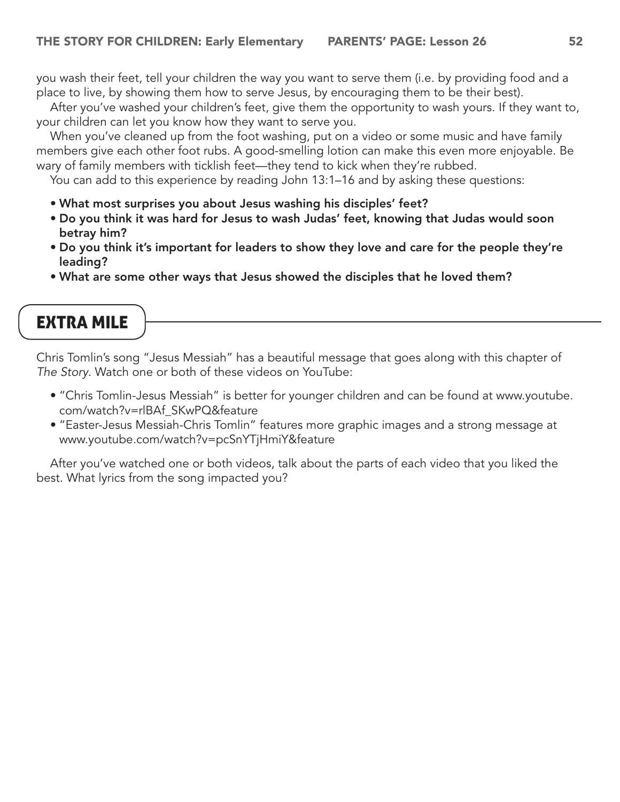you wash their feet, tell your children the way you want to serve them (i.e. by providing food and a place to live, by showing them how to serve Jesus, by encouraging them to be their best).

After you've washed your children's feet, give them the opportunity to wash yours. If they want to, your children can let you know how they want to serve you.

When you've cleaned up from the foot washing, put on a video or some music and have family members give each other foot rubs. A good-smelling lotion can make this even more enjoyable. Be wary of family members with ticklish feet—they tend to kick when they're rubbed.

You can add to this experience by reading John 13:1–16 and by asking these questions:

- What most surprises you about Jesus washing his disciples' feet?
- Do you think it was hard for Jesus to wash Judas' feet, knowing that Judas would soon betray him?
- Do you think it's important for leaders to show they love and care for the people they're leading?
- What are some other ways that Jesus showed the disciples that he loved them?

## Extra Mile

Chris Tomlin's song "Jesus Messiah" has a beautiful message that goes along with this chapter of *The Story*. Watch one or both of these videos on YouTube:

- "Chris Tomlin-Jesus Messiah" is better for younger children and can be found at www.youtube. com/watch?v=rlBAf\_SKwPQ&feature
- "Easter-Jesus Messiah-Chris Tomlin" features more graphic images and a strong message at www.youtube.com/watch?v=pcSnYTjHmiY&feature

After you've watched one or both videos, talk about the parts of each video that you liked the best. What lyrics from the song impacted you?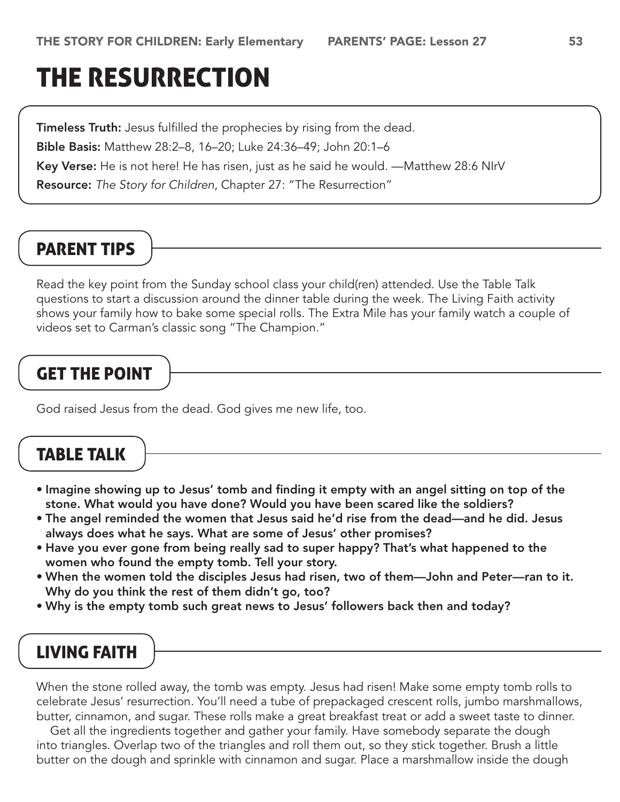# The Resurrection

**Timeless Truth:** Jesus fulfilled the prophecies by rising from the dead. Bible Basis: Matthew 28:2–8, 16–20; Luke 24:36–49; John 20:1–6 Key Verse: He is not here! He has risen, just as he said he would. —Matthew 28:6 NIrV Resource: *The Story for Children*, Chapter 27: "The Resurrection"

# Parent Tips

Read the key point from the Sunday school class your child(ren) attended. Use the Table Talk questions to start a discussion around the dinner table during the week. The Living Faith activity shows your family how to bake some special rolls. The Extra Mile has your family watch a couple of videos set to Carman's classic song "The Champion."

# Get the Point

God raised Jesus from the dead. God gives me new life, too.

## Table Talk

- Imagine showing up to Jesus' tomb and finding it empty with an angel sitting on top of the stone. What would you have done? Would you have been scared like the soldiers?
- The angel reminded the women that Jesus said he'd rise from the dead—and he did. Jesus always does what he says. What are some of Jesus' other promises?
- Have you ever gone from being really sad to super happy? That's what happened to the women who found the empty tomb. Tell your story.
- When the women told the disciples Jesus had risen, two of them—John and Peter—ran to it. Why do you think the rest of them didn't go, too?
- Why is the empty tomb such great news to Jesus' followers back then and today?

# Living Faith

When the stone rolled away, the tomb was empty. Jesus had risen! Make some empty tomb rolls to celebrate Jesus' resurrection. You'll need a tube of prepackaged crescent rolls, jumbo marshmallows, butter, cinnamon, and sugar. These rolls make a great breakfast treat or add a sweet taste to dinner.

Get all the ingredients together and gather your family. Have somebody separate the dough into triangles. Overlap two of the triangles and roll them out, so they stick together. Brush a little butter on the dough and sprinkle with cinnamon and sugar. Place a marshmallow inside the dough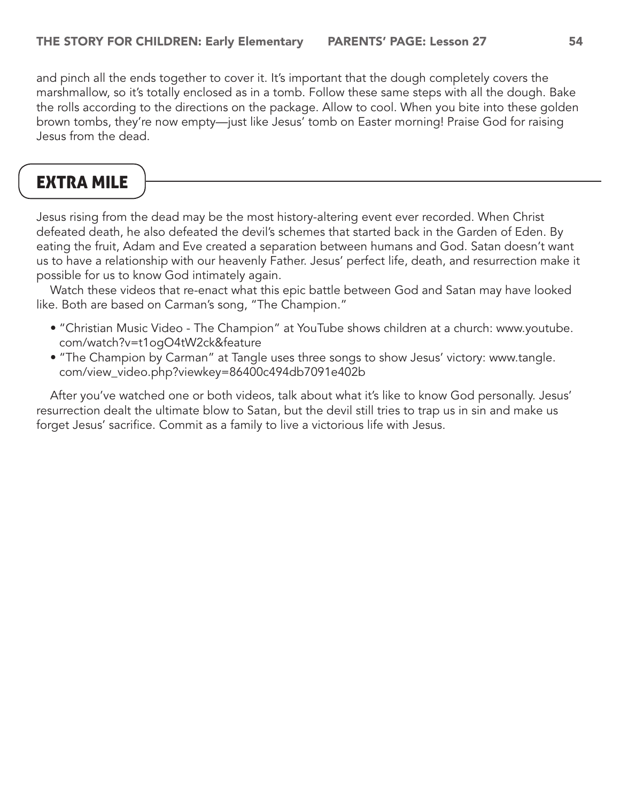and pinch all the ends together to cover it. It's important that the dough completely covers the marshmallow, so it's totally enclosed as in a tomb. Follow these same steps with all the dough. Bake the rolls according to the directions on the package. Allow to cool. When you bite into these golden brown tombs, they're now empty—just like Jesus' tomb on Easter morning! Praise God for raising Jesus from the dead.

# Extra Mile

Jesus rising from the dead may be the most history-altering event ever recorded. When Christ defeated death, he also defeated the devil's schemes that started back in the Garden of Eden. By eating the fruit, Adam and Eve created a separation between humans and God. Satan doesn't want us to have a relationship with our heavenly Father. Jesus' perfect life, death, and resurrection make it possible for us to know God intimately again.

Watch these videos that re-enact what this epic battle between God and Satan may have looked like. Both are based on Carman's song, "The Champion."

- "Christian Music Video The Champion" at YouTube shows children at a church: www.youtube. com/watch?v=t1ogO4tW2ck&feature
- "The Champion by Carman" at Tangle uses three songs to show Jesus' victory: www.tangle. com/view\_video.php?viewkey=86400c494db7091e402b

After you've watched one or both videos, talk about what it's like to know God personally. Jesus' resurrection dealt the ultimate blow to Satan, but the devil still tries to trap us in sin and make us forget Jesus' sacrifice. Commit as a family to live a victorious life with Jesus.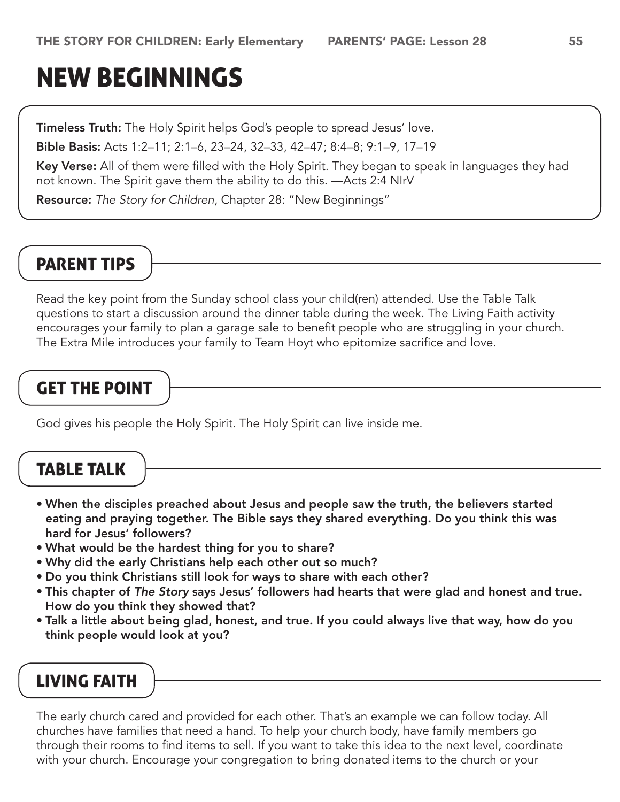# New Beginnings

**Timeless Truth:** The Holy Spirit helps God's people to spread Jesus' love.

Bible Basis: Acts 1:2–11; 2:1–6, 23–24, 32–33, 42–47; 8:4–8; 9:1–9, 17–19

Key Verse: All of them were filled with the Holy Spirit. They began to speak in languages they had not known. The Spirit gave them the ability to do this. —Acts 2:4 NIrV

Resource: *The Story for Children*, Chapter 28: "New Beginnings"

## Parent Tips

Read the key point from the Sunday school class your child(ren) attended. Use the Table Talk questions to start a discussion around the dinner table during the week. The Living Faith activity encourages your family to plan a garage sale to benefit people who are struggling in your church. The Extra Mile introduces your family to Team Hoyt who epitomize sacrifice and love.

# Get the Point

God gives his people the Holy Spirit. The Holy Spirit can live inside me.

#### Table Talk

- When the disciples preached about Jesus and people saw the truth, the believers started eating and praying together. The Bible says they shared everything. Do you think this was hard for Jesus' followers?
- What would be the hardest thing for you to share?
- Why did the early Christians help each other out so much?
- Do you think Christians still look for ways to share with each other?
- This chapter of *The Story* says Jesus' followers had hearts that were glad and honest and true. How do you think they showed that?
- Talk a little about being glad, honest, and true. If you could always live that way, how do you think people would look at you?

# Living Faith

The early church cared and provided for each other. That's an example we can follow today. All churches have families that need a hand. To help your church body, have family members go through their rooms to find items to sell. If you want to take this idea to the next level, coordinate with your church. Encourage your congregation to bring donated items to the church or your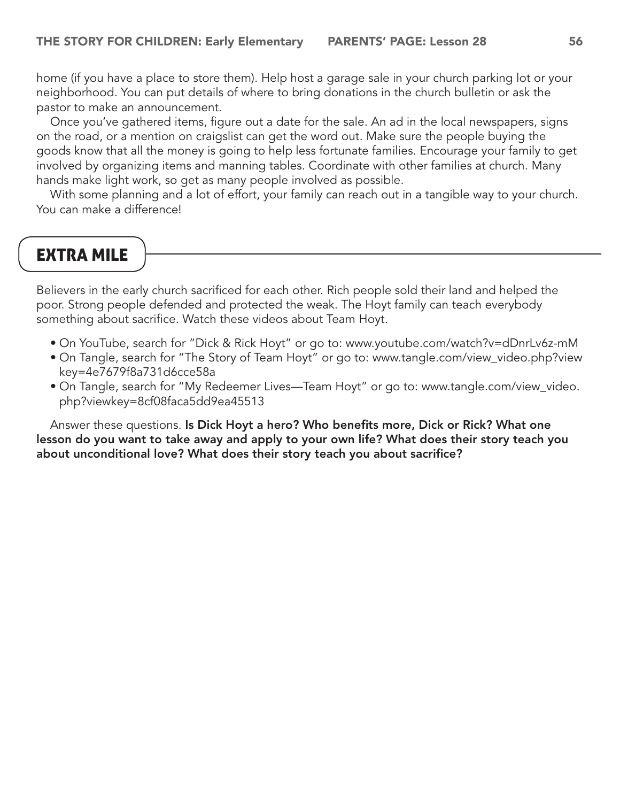home (if you have a place to store them). Help host a garage sale in your church parking lot or your neighborhood. You can put details of where to bring donations in the church bulletin or ask the pastor to make an announcement.

Once you've gathered items, figure out a date for the sale. An ad in the local newspapers, signs on the road, or a mention on craigslist can get the word out. Make sure the people buying the goods know that all the money is going to help less fortunate families. Encourage your family to get involved by organizing items and manning tables. Coordinate with other families at church. Many hands make light work, so get as many people involved as possible.

With some planning and a lot of effort, your family can reach out in a tangible way to your church. You can make a difference!

## Extra Mile

Believers in the early church sacrificed for each other. Rich people sold their land and helped the poor. Strong people defended and protected the weak. The Hoyt family can teach everybody something about sacrifice. Watch these videos about Team Hoyt.

- On YouTube, search for "Dick & Rick Hoyt" or go to: www.youtube.com/watch?v=dDnrLv6z-mM
- On Tangle, search for "The Story of Team Hoyt" or go to: www.tangle.com/view\_video.php?view key=4e7679f8a731d6cce58a
- On Tangle, search for "My Redeemer Lives—Team Hoyt" or go to: www.tangle.com/view\_video. php?viewkey=8cf08faca5dd9ea45513

Answer these questions. Is Dick Hoyt a hero? Who benefits more, Dick or Rick? What one lesson do you want to take away and apply to your own life? What does their story teach you about unconditional love? What does their story teach you about sacrifice?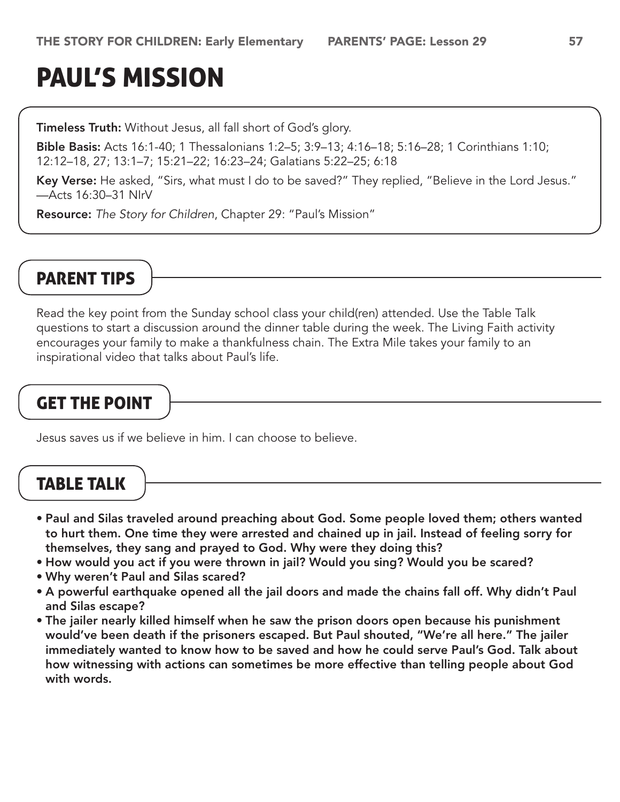# Paul's Mission

Timeless Truth: Without Jesus, all fall short of God's glory.

Bible Basis: Acts 16:1-40; 1 Thessalonians 1:2–5; 3:9–13; 4:16–18; 5:16–28; 1 Corinthians 1:10; 12:12–18, 27; 13:1–7; 15:21–22; 16:23–24; Galatians 5:22–25; 6:18

Key Verse: He asked, "Sirs, what must I do to be saved?" They replied, "Believe in the Lord Jesus." —Acts 16:30–31 NIrV

Resource: *The Story for Children*, Chapter 29: "Paul's Mission"

# Parent Tips

Read the key point from the Sunday school class your child(ren) attended. Use the Table Talk questions to start a discussion around the dinner table during the week. The Living Faith activity encourages your family to make a thankfulness chain. The Extra Mile takes your family to an inspirational video that talks about Paul's life.

# Get the Point

Jesus saves us if we believe in him. I can choose to believe.

## Table Talk

- Paul and Silas traveled around preaching about God. Some people loved them; others wanted to hurt them. One time they were arrested and chained up in jail. Instead of feeling sorry for themselves, they sang and prayed to God. Why were they doing this?
- How would you act if you were thrown in jail? Would you sing? Would you be scared?
- Why weren't Paul and Silas scared?
- A powerful earthquake opened all the jail doors and made the chains fall off. Why didn't Paul and Silas escape?
- The jailer nearly killed himself when he saw the prison doors open because his punishment would've been death if the prisoners escaped. But Paul shouted, "We're all here." The jailer immediately wanted to know how to be saved and how he could serve Paul's God. Talk about how witnessing with actions can sometimes be more effective than telling people about God with words.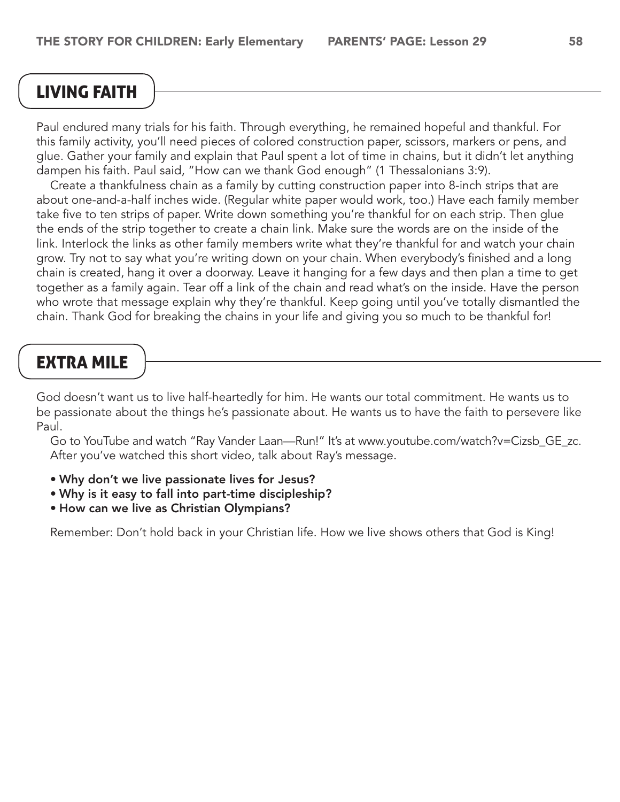# Living Faith

Paul endured many trials for his faith. Through everything, he remained hopeful and thankful. For this family activity, you'll need pieces of colored construction paper, scissors, markers or pens, and glue. Gather your family and explain that Paul spent a lot of time in chains, but it didn't let anything dampen his faith. Paul said, "How can we thank God enough" (1 Thessalonians 3:9).

Create a thankfulness chain as a family by cutting construction paper into 8-inch strips that are about one-and-a-half inches wide. (Regular white paper would work, too.) Have each family member take five to ten strips of paper. Write down something you're thankful for on each strip. Then glue the ends of the strip together to create a chain link. Make sure the words are on the inside of the link. Interlock the links as other family members write what they're thankful for and watch your chain grow. Try not to say what you're writing down on your chain. When everybody's finished and a long chain is created, hang it over a doorway. Leave it hanging for a few days and then plan a time to get together as a family again. Tear off a link of the chain and read what's on the inside. Have the person who wrote that message explain why they're thankful. Keep going until you've totally dismantled the chain. Thank God for breaking the chains in your life and giving you so much to be thankful for!

# Extra Mile

God doesn't want us to live half-heartedly for him. He wants our total commitment. He wants us to be passionate about the things he's passionate about. He wants us to have the faith to persevere like Paul.

Go to YouTube and watch "Ray Vander Laan—Run!" It's at www.youtube.com/watch?v=Cizsb\_GE\_zc. After you've watched this short video, talk about Ray's message.

- Why don't we live passionate lives for Jesus?
- Why is it easy to fall into part-time discipleship?
- How can we live as Christian Olympians?

Remember: Don't hold back in your Christian life. How we live shows others that God is King!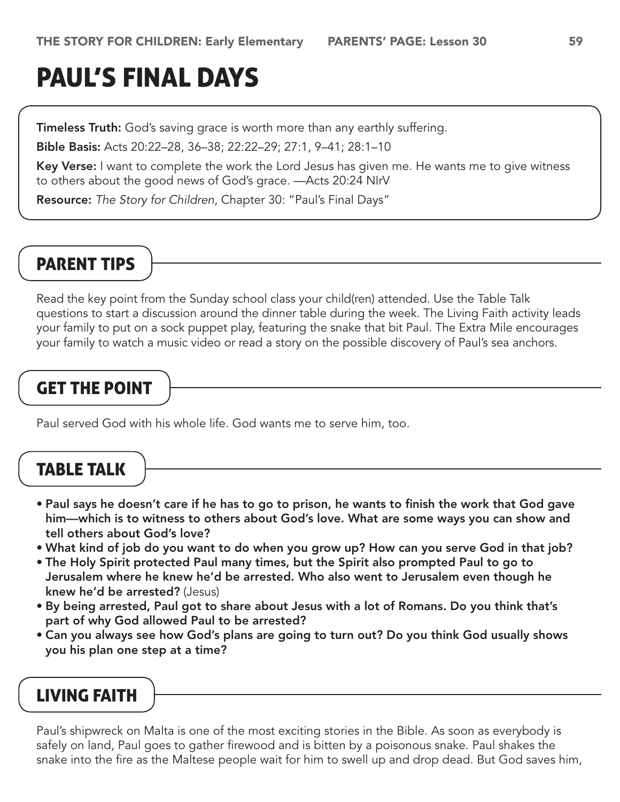# Paul's Final Days

**Timeless Truth:** God's saving grace is worth more than any earthly suffering.

Bible Basis: Acts 20:22–28, 36–38; 22:22–29; 27:1, 9–41; 28:1–10

Key Verse: I want to complete the work the Lord Jesus has given me. He wants me to give witness to others about the good news of God's grace. —Acts 20:24 NIrV

Resource: *The Story for Children*, Chapter 30: "Paul's Final Days"

# Parent Tips

Read the key point from the Sunday school class your child(ren) attended. Use the Table Talk questions to start a discussion around the dinner table during the week. The Living Faith activity leads your family to put on a sock puppet play, featuring the snake that bit Paul. The Extra Mile encourages your family to watch a music video or read a story on the possible discovery of Paul's sea anchors.

# Get the Point

Paul served God with his whole life. God wants me to serve him, too.

# Table Talk

- Paul says he doesn't care if he has to go to prison, he wants to finish the work that God gave him—which is to witness to others about God's love. What are some ways you can show and tell others about God's love?
- What kind of job do you want to do when you grow up? How can you serve God in that job?
- The Holy Spirit protected Paul many times, but the Spirit also prompted Paul to go to Jerusalem where he knew he'd be arrested. Who also went to Jerusalem even though he knew he'd be arrested? (Jesus)
- By being arrested, Paul got to share about Jesus with a lot of Romans. Do you think that's part of why God allowed Paul to be arrested?
- Can you always see how God's plans are going to turn out? Do you think God usually shows you his plan one step at a time?

# Living Faith

Paul's shipwreck on Malta is one of the most exciting stories in the Bible. As soon as everybody is safely on land, Paul goes to gather firewood and is bitten by a poisonous snake. Paul shakes the snake into the fire as the Maltese people wait for him to swell up and drop dead. But God saves him,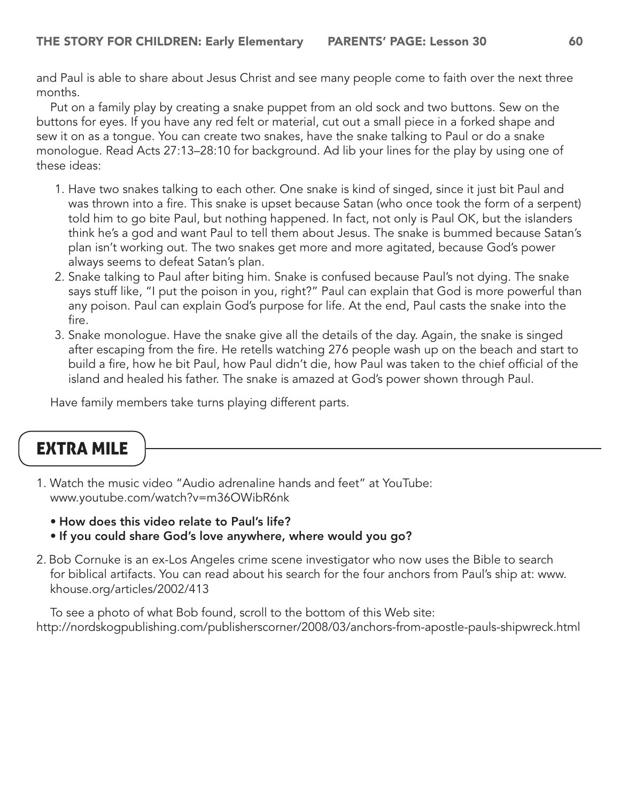and Paul is able to share about Jesus Christ and see many people come to faith over the next three months.

Put on a family play by creating a snake puppet from an old sock and two buttons. Sew on the buttons for eyes. If you have any red felt or material, cut out a small piece in a forked shape and sew it on as a tongue. You can create two snakes, have the snake talking to Paul or do a snake monologue. Read Acts 27:13–28:10 for background. Ad lib your lines for the play by using one of these ideas:

- 1. Have two snakes talking to each other. One snake is kind of singed, since it just bit Paul and was thrown into a fire. This snake is upset because Satan (who once took the form of a serpent) told him to go bite Paul, but nothing happened. In fact, not only is Paul OK, but the islanders think he's a god and want Paul to tell them about Jesus. The snake is bummed because Satan's plan isn't working out. The two snakes get more and more agitated, because God's power always seems to defeat Satan's plan.
- 2. Snake talking to Paul after biting him. Snake is confused because Paul's not dying. The snake says stuff like, "I put the poison in you, right?" Paul can explain that God is more powerful than any poison. Paul can explain God's purpose for life. At the end, Paul casts the snake into the fire.
- 3. Snake monologue. Have the snake give all the details of the day. Again, the snake is singed after escaping from the fire. He retells watching 276 people wash up on the beach and start to build a fire, how he bit Paul, how Paul didn't die, how Paul was taken to the chief official of the island and healed his father. The snake is amazed at God's power shown through Paul.

Have family members take turns playing different parts.

# Extra Mile

- 1. Watch the music video "Audio adrenaline hands and feet" at YouTube: www.youtube.com/watch?v=m36OWibR6nk
	- How does this video relate to Paul's life?
	- If you could share God's love anywhere, where would you go?
- 2. Bob Cornuke is an ex-Los Angeles crime scene investigator who now uses the Bible to search for biblical artifacts. You can read about his search for the four anchors from Paul's ship at: www. khouse.org/articles/2002/413

To see a photo of what Bob found, scroll to the bottom of this Web site: http://nordskogpublishing.com/publisherscorner/2008/03/anchors-from-apostle-pauls-shipwreck.html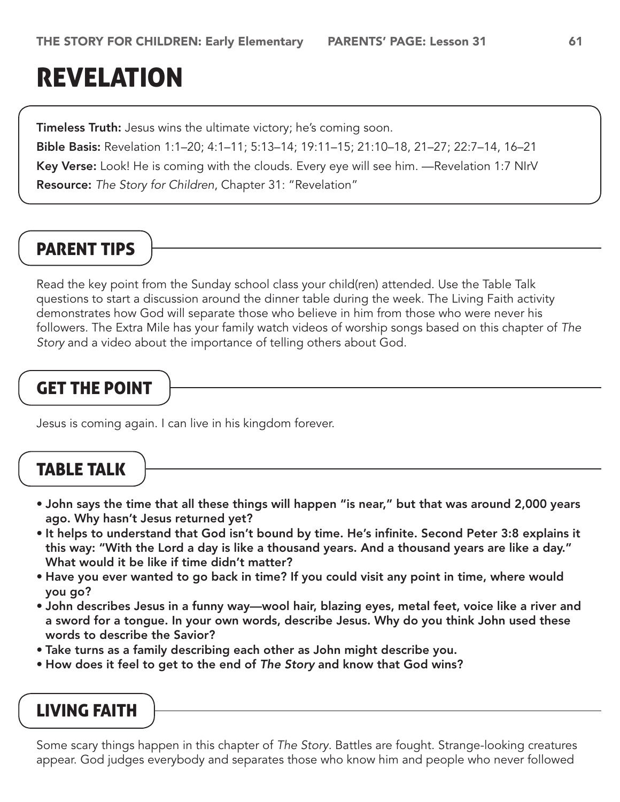# **REVELATION**

**Timeless Truth:** Jesus wins the ultimate victory; he's coming soon.

Bible Basis: Revelation 1:1–20; 4:1–11; 5:13–14; 19:11–15; 21:10–18, 21–27; 22:7–14, 16–21 Key Verse: Look! He is coming with the clouds. Every eye will see him. —Revelation 1:7 NIrV Resource: *The Story for Children*, Chapter 31: "Revelation"

# Parent Tips

Read the key point from the Sunday school class your child(ren) attended. Use the Table Talk questions to start a discussion around the dinner table during the week. The Living Faith activity demonstrates how God will separate those who believe in him from those who were never his followers. The Extra Mile has your family watch videos of worship songs based on this chapter of *The Story* and a video about the importance of telling others about God.

# Get the Point

Jesus is coming again. I can live in his kingdom forever.

# Table Talk

- John says the time that all these things will happen "is near," but that was around 2,000 years ago. Why hasn't Jesus returned yet?
- It helps to understand that God isn't bound by time. He's infinite. Second Peter 3:8 explains it this way: "With the Lord a day is like a thousand years. And a thousand years are like a day." What would it be like if time didn't matter?
- Have you ever wanted to go back in time? If you could visit any point in time, where would you go?
- John describes Jesus in a funny way—wool hair, blazing eyes, metal feet, voice like a river and a sword for a tongue. In your own words, describe Jesus. Why do you think John used these words to describe the Savior?
- Take turns as a family describing each other as John might describe you.
- How does it feel to get to the end of *The Story* and know that God wins?

## Living Faith

Some scary things happen in this chapter of *The Story*. Battles are fought. Strange-looking creatures appear. God judges everybody and separates those who know him and people who never followed